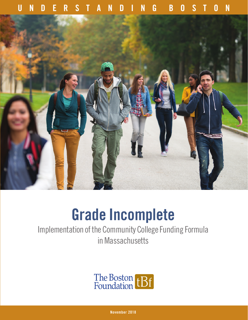# **UNDERSTANDING BOSTON**



# **Grade Incomplete**

Implementation of the Community College Funding Formula in Massachusetts



**November 2018**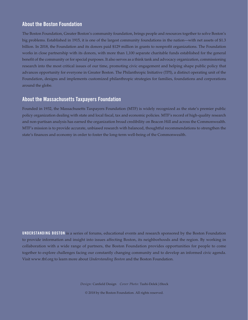### **About the Boston Foundation**

The Boston Foundation, Greater Boston's community foundation, brings people and resources together to solve Boston's big problems. Established in 1915, it is one of the largest community foundations in the nation—with net assets of \$1.3 billion. In 2018, the Foundation and its donors paid \$129 million in grants to nonprofit organizations. The Foundation works in close partnership with its donors, with more than 1,100 separate charitable funds established for the general benefit of the community or for special purposes. It also serves as a think tank and advocacy organization, commissioning research into the most critical issues of our time, promoting civic engagement and helping shape public policy that advances opportunity for everyone in Greater Boston. The Philanthropic Initiative (TPI), a distinct operating unit of the Foundation, designs and implements customized philanthropic strategies for families, foundations and corporations around the globe.

### **About the Massachusetts Taxpayers Foundation**

Founded in 1932, the Massachusetts Taxpayers Foundation (MTF) is widely recognized as the state's premier public policy organization dealing with state and local fiscal, tax and economic policies. MTF's record of high-quality research and non-partisan analysis has earned the organization broad credibility on Beacon Hill and across the Commonwealth. MTF's mission is to provide accurate, unbiased research with balanced, thoughtful recommendations to strengthen the state's finances and economy in order to foster the long-term well-being of the Commonwealth.

**UNDERSTANDING BOSTON** is a series of forums, educational events and research sponsored by the Boston Foundation to provide information and insight into issues affecting Boston, its neighborhoods and the region. By working in collaboration with a wide range of partners, the Boston Foundation provides opportunities for people to come together to explore challenges facing our constantly changing community and to develop an informed civic agenda. Visit www.tbf.org to learn more about *Understanding Boston* and the Boston Foundation.

*Design:* Canfield Design *Cover Photo:* Tashi-Delek|iStock

© 2018 by the Boston Foundation. All rights reserved.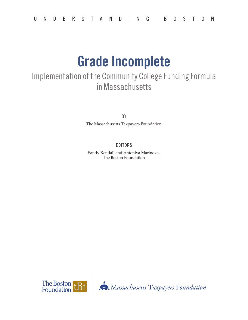# **Grade Incomplete**

# Implementation of the Community College Funding Formula in Massachusetts

BY

The Massachusetts Taxpayers Foundation

### EDITORS

Sandy Kendall and Antoniya Marinova, The Boston Foundation

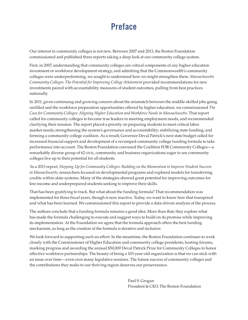# **Preface**

Our interest in community colleges is not new. Between 2007 and 2013, the Boston Foundation commissioned and published three reports taking a deep look at our community college system.

First, in 2007, understanding that community colleges are critical components of any higher education investment or workforce development strategy, and admitting that the Commonwealth's community colleges were underperforming, we sought to understand how we might strengthen them. *Massachusetts Community Colleges: The Potential for Improving College Attainment* provided recommendations for new investments paired with accountability measures of student outcomes, pulling from best practices nationally.

In 2011, given continuing and growing concern about the mismatch between the middle-skilled jobs going unfilled and the workforce preparation opportunities offered by higher education, we commissioned *The Case for Community Colleges: Aligning Higher Education and Workforce Needs in Massachusetts*. That report called for community colleges to become true leaders in meeting employment needs, and recommended clarifying their mission. The report placed a priority on preparing students to meet critical labor market needs; strengthening the system's governance and accountability; stabilizing state funding; and forming a community college coalition. As a result, Governor Deval Patrick's next state budget called for increased financial support and development of a revamped community college funding formula to take performance into account. The Boston Foundation convened the Coalition FOR Community Colleges—a remarkably diverse group of 62 civic, community and business organizations eager to see community colleges live up to their potential for all students.

 In a 2013 report, *Stepping Up for Community Colleges: Building on the Momentum to Improve Student Success in Massachusetts*, researchers focused on developmental programs and explored models for transferring credits within state systems. Many of the strategies showed great potential for improving outcomes for low-income and underprepared students seeking to improve their skills.

That has been gratifying to track. But what about the funding formula? That recommendation was implemented for three fiscal years, though is now inactive. Today, we want to know how that transpired and what has been learned. We commissioned this report to provide a data-driven analysis of the process.

The authors conclude that a funding formula remains a good idea. More than that, they explore what has made the formula challenging to execute and suggest ways to build on its promise while improving its implementation. At the Foundation we agree that the formula approach offers the best funding mechanism, as long as the creation of the formula is iterative and inclusive.

We look forward to supporting such an effort. In the meantime, the Boston Foundation continues to work closely with the Commissioner of Higher Education and community college presidents, hosting forums, marking progress and awarding the annual \$50,000 Deval Patrick Prize for Community Colleges to honor effective workforce partnerships. The beauty of being a 103-year-old organization is that we can stick with an issue over time—even over many legislative sessions. The future success of community colleges and the contributions they make to our thriving region deserves our perseverance.

> Paul S. Grogan President & CEO, The Boston Foundation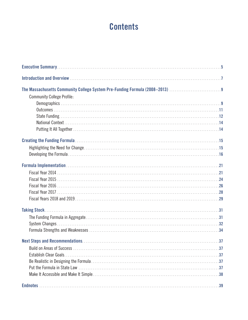# **Contents**

| The Massachusetts Community College System Pre-Funding Formula (2008–2013) 9 |
|------------------------------------------------------------------------------|
| <b>Community College Profile:</b>                                            |
|                                                                              |
|                                                                              |
|                                                                              |
|                                                                              |
|                                                                              |
|                                                                              |
|                                                                              |
|                                                                              |
|                                                                              |
|                                                                              |
|                                                                              |
|                                                                              |
|                                                                              |
|                                                                              |
|                                                                              |
|                                                                              |
|                                                                              |
|                                                                              |
|                                                                              |
|                                                                              |
|                                                                              |
|                                                                              |
|                                                                              |
|                                                                              |
|                                                                              |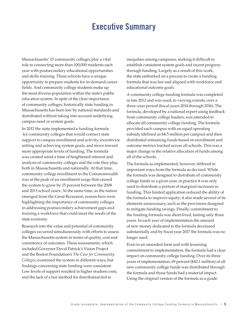# **Executive Summary**

Massachusetts' 15 community colleges play a vital role in connecting more than 100,000 residents each year with postsecondary educational opportunities and skills training. These schools have a unique opportunity to prepare students for in-demand career fields. And community college students make up the most diverse population within the state's public education system. In spite of the clear importance of community colleges, historically state funding in Massachusetts has been low by national standards and distributed without taking into account underlying campus need or system goals.

In 2012 the state implemented a funding formula for community colleges that would connect state support to campus enrollment and activity, incentivize setting and achieving system goals, and move toward more appropriate levels of funding. The formula was created amid a time of heightened interest and analysis of community colleges and the role they play, both in Massachusetts and nationally. At that time, community college enrollment in the Commonwealth was at the peak of an enrollment surge that caused the system to grow by 15 percent between the 2008 and 2013 school years. At the same time, as the nation emerged from the Great Recession, researchers were highlighting the importance of community colleges in addressing postsecondary achievement gaps and training a workforce that could meet the needs of the state economy.

Research into the value and potential of community colleges occurred simultaneously with efforts to assess the Massachusetts system in terms of quality, cost and consistency of outcomes. These assessments, which included Governor Deval Patrick's Vision Project and the Boston Foundation's *The Case for Community Colleges*, examined the system in different ways, but findings concerning state funding were consistent: Low levels of support resulted in higher student costs, and the lack of a fair method for distribution led to

inequities among campuses, making it difficult to establish consistent system goals and incent progress through funding. Largely as a result of this work, the state embarked on a process to create a funding formula that was fair and aligned with workforce and educational outcome goals.

A community college funding formula was completed in late 2012 and was used, to varying extents, over a three-year period (fiscal years 2014 through 2016). The formula, developed by a national expert using feedback from community college leaders, was intended to allocate all community college funding. The formula provided each campus with an equal operating subsidy (defined as \$4.5 million per campus) and then distributed remaining funds based on enrollment and outcome metrics tracked across all schools. This was a major change in the relative allocation of funds among all of the schools.

The formula as implemented, however, differed in important ways from the formula as devised. While the formula was designed to distribute *all* community college funds in a given year, in practice it was only used to distribute a portion of marginal increases in funding. This limited application reduced the ability of the formula to improve equity; it also made several of its elements unnecessary, such as the provisions designed to mitigate funding swings. Finally, commitment to the funding formula was short-lived, lasting only three years. In each year of implementation the amount of new money dedicated to the formula decreased substantially and by fiscal year 2017 the formula was no longer used.

Even in an amended form and with lessening commitment to implementation, the formula had a clear impact on community college funding. Over its three years of implementation, 69 percent (\$42.1 million) of all new community college funds was distributed through the formula and those funds had a material impact. Using the original version of the formula as a guide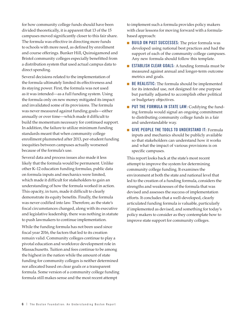for how community college funds should have been divided theoretically, it is apparent that 13 of the 15 campuses moved significantly closer to this fair share. The formula was effective in directing more funds to schools with more need, as defined by enrollment and course offerings. Bunker Hill, Quinsigamond and Bristol community colleges especially benefitted from a distribution system that used actual campus data to direct spending.

Several decisions related to the implementation of the formula ultimately limited its effectiveness and its staying power. First, the formula was not used as it was intended—as a full funding system. Using the formula only on new money mitigated its impact and invalidated some of its provisions. The formula was never measured against funding goals—either annually or over time—which made it difficult to build the momentum necessary for continued support. In addition, the failure to utilize minimum funding standards meant that when community college enrollment plummeted after 2013, per-student funding inequities between campuses actually worsened because of the formula's use.

Several data and process issues also made it less likely that the formula would be permanent. Unlike other K–12 education funding formulas, public data on formula inputs and mechanics were limited, which made it difficult for stakeholders to gain an understanding of how the formula worked in action. This opacity, in turn, made it difficult to clearly demonstrate its equity benefits. Finally, the formula was never codified into law. Therefore, as the state's fiscal circumstances changed, along with its executive and legislative leadership, there was nothing in statute to push lawmakers to continue implementation.

While the funding formula has not been used since fiscal year 2016, the factors that led to its creation remain valid. Community colleges continue to play a pivotal education and workforce development role in Massachusetts. Tuition and fees continue to be among the highest in the nation while the amount of state funding for community colleges is neither determined nor allocated based on clear goals or a transparent formula. Some version of a community college funding formula still makes sense and the most recent attempt

to implement such a formula provides policy makers with clear lessons for moving forward with a formulabased approach:

- **BUILD ON PAST SUCCESSES:** The prior formula was developed using national best practices and had the support of each of the community college campuses. Any new formula should follow this template.
- **ESTABLISH CLEAR GOALS:** A funding formula must be measured against annual and longer-term outcome metrics and goals.
- **BE REALISTIC:** The formula should be implemented for its intended use, not designed for one purpose but partially adjusted to accomplish other political or budgetary objectives.
- **PUT THE FORMULA IN STATE LAW: Codifying the fund**ing formula would signal an ongoing commitment to distributing community college funds in a fair and understandable way.
- **GIVE PEOPLE THE TOOLS TO UNDERSTAND IT:** Formula inputs and mechanics should be publicly available so that stakeholders can understand how it works and what the impact of various provisions is on specific campuses.

This report looks back at the state's most recent attempt to improve the system for determining community college funding. It examines the environment at both the state and national level that led to the creation of a funding formula, considers the strengths and weaknesses of the formula that was devised and assesses the success of implementation efforts. It concludes that a well-developed, clearly articulated funding formula is valuable, particularly if implemented as devised, and something for today's policy makers to consider as they contemplate how to improve state support for community colleges.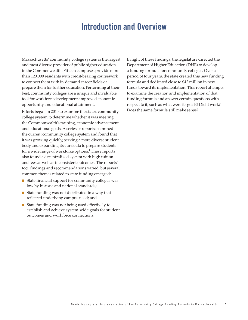# **Introduction and Overview**

Massachusetts' community college system is the largest and most diverse provider of public higher education in the Commonwealth. Fifteen campuses provide more than 120,000 residents with credit-bearing coursework to connect them with in-demand career fields or prepare them for further education. Performing at their best, community colleges are a unique and invaluable tool for workforce development, improved economic opportunity and educational attainment.

Efforts began in 2010 to examine the state's community college system to determine whether it was meeting the Commonwealth's training, economic advancement and educational goals. A series of reports examined the current community college system and found that it was growing quickly, serving a more diverse student body and expanding its curricula to prepare students for a wide range of workforce options.<sup>1</sup> These reports also found a decentralized system with high tuition and fees as well as inconsistent outcomes. The reports' foci, findings and recommendations varied, but several common themes related to state funding emerged:

- State financial support for community colleges was low by historic and national standards;
- State funding was not distributed in a way that reflected underlying campus need; and
- State funding was not being used effectively to establish and achieve system-wide goals for student outcomes and workforce connections.

In light of these findings, the legislature directed the Department of Higher Education (DHE) to develop a funding formula for community colleges. Over a period of four years, the state created this new funding formula and dedicated close to \$42 million in new funds toward its implementation. This report attempts to examine the creation and implementation of that funding formula and answer certain questions with respect to it, such as what were its goals? Did it work? Does the same formula still make sense?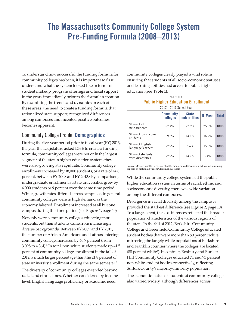# **The Massachusetts Community College System Pre-Funding Formula (2008–2013)**

To understand how successful the funding formula for community colleges has been, it is important to first understand what the system looked like in terms of student makeup, program offerings and fiscal support in the years immediately prior to the formula's creation. By examining the trends and dynamics in each of these areas, the need to create a funding formula that rationalized state support, recognized differences among campuses and incented positive outcomes becomes apparent.

### Community College Profile: **Demographics**

During the five-year period prior to fiscal year (FY) 2013, the year the Legislature asked DHE to create a funding formula, community colleges were not only the largest segment of the state's higher education system, they were also growing at a rapid rate. Community college enrollment increased by 18,000 students, or a rate of 14.8 percent, between FY 2008 and FY 2013.<sup>2</sup> By comparison, undergraduate enrollment at state universities grew by 4,000 students or 9 percent over the same time period. While growth rates differed across campuses, in general community colleges were in high demand as the economy faltered. Enrollment increased at all but one campus during this time period (see **Figure 1**, page 10).

Not only were community colleges educating more students, but their students came from increasingly diverse backgrounds. Between FY 2009 and FY 2013, the number of African Americans and Latinos entering community college increased by 40.7 percent (from  $3,098$  to  $4,361$ ).<sup>3</sup> In total, non-white students made up  $41.5$ percent of community college enrollment in the fall of 2012, a much larger percentage than the 21.8 percent of state university enrollment during the same semester.<sup>4</sup>

The diversity of community colleges extended beyond racial and ethnic lines. Whether considered by income level, English language proficiency or academic need,

community colleges clearly played a vital role in ensuring that students of all socio-economic statuses and learning abilities had access to public higher education (see **Table 1**).

#### TABLE 1 **Public Higher Education Enrollment** 2012 – 2013 School Year

|                                        | <b>Community</b><br>colleges | <b>State</b><br>universities | U. Mass  | <b>Total</b> |
|----------------------------------------|------------------------------|------------------------------|----------|--------------|
| Share of all<br>new students           | 52.4%                        | $22.2\%$                     | 25.5%    | 100%         |
| Share of low-income<br>students        | 69.6%                        | 14.2%                        | 16.2%    | 100%         |
| Share of English<br>language learners  | 77.9%                        | 6.6%                         | $15.5\%$ | 100%         |
| Share of students<br>with disabilities | 77.9%                        | 14.7%                        | $7.4\%$  | 100%         |

Source: Massachusetts Department of Elementary and Secondary Education summary reports on National Student Clearinghouse data

While the community college system led the public higher education system in terms of racial, ethnic and socioeconomic diversity, there was wide variation among the different campuses.

Divergence in racial diversity among the campuses provided the starkest difference (see **Figure 2**, page 10). To a large extent, these differences reflected the broader population characteristics of the various regions of the state. In the fall of 2012, Berkshire Community College and Greenfield Community College educated student bodies that were more than 80 percent white, mirroring the largely white populations of Berkshire and Franklin counties where the colleges are located (88 percent white<sup>5</sup>). In contrast, Roxbury and Bunker Hill Community Colleges educated 71 and 93 percent non-white student bodies, respectively, reflecting Suffolk County's majority-minority population.

The economic status of students at community colleges also varied widely, although differences across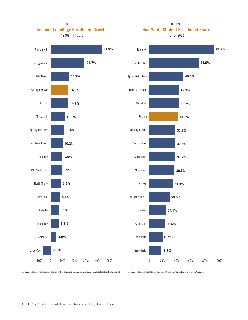FIGURE 1 **Community College Enrollment Growth**

FY 2008 – FY 2013





FIGURE 2

Source: Massachusetts Department of Higher Education annual unduplicated headcount

Source: Massachusetts Department of Higher Education Data Center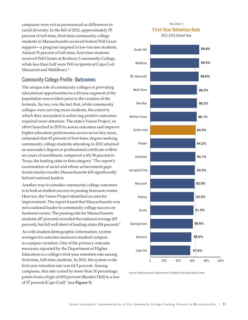campuses were not as pronounced as differences in racial diversity. In the fall of 2012, approximately 55 percent of full-time, first-time community college students in Massachusetts received federal Pell Grant support—a program targeted to low-income students. Almost 70 percent of full-time, first-time students received Pell Grants at Roxbury Community College, while less than half were Pell recipients at Cape Cod, Massasoit and Middlesex.<sup>6</sup>

### Community College Profile: **Outcomes**

The unique role of community colleges in providing educational opportunities to a diverse segment of the population was evident prior to the creation of the formula. So, too, was the fact that, while community colleges were serving more students, the extent to which they succeeded in achieving positive outcomes required more attention. The state's Vision Project, an effort launched in 2010 to assess outcomes and improve higher education performance across seven key areas, estimated that 45 percent of first-time, degree-seeking community college students attending in 2012 attained an associate's degree or professional certificate within six years of enrollment, compared with 58 percent in Texas, the leading state in that category.7 The report's examination of racial and ethnic achievement gaps found similar results: Massachusetts fell significantly behind national leaders.

Another way to consider community college outcomes is to look at student success in passing licensure exams. Here too, the Vision Project identified an area for improvement. The report found that Massachusetts was not a national leader in community college success on licensure exams. The passing rate for Massachusetts students (87 percent) exceeded the national average (85 percent), but fell well short of leading states (94 percent).<sup>8</sup>

As with student demographic information, system averages for outcome measures masked campusto-campus variation. One of the primary outcome measures reported by the Department of Higher Education is a college's first-year retention rate among first-time, full-time students. In 2013, the system-wide first year retention rate was 64.5 percent. Among campuses, this rate varied by more than 10 percentage points from a high of 69.8 percent (Bunker Hill) to a low of 57 percent (Cape Cod)<sup>9</sup> (see **Figure 3**).

#### FIGURE 3 **First-Year Retention Rate**

2012-2013 School Year



Source: Massachusetts Department of Higher Education Data Center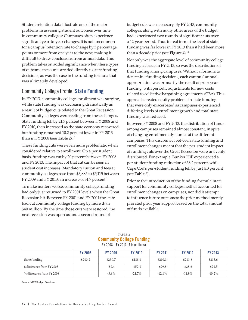Student retention data illustrate one of the major problems in assessing student outcomes over time in community colleges: Campuses often experience significant year-to-year changes. It is not uncommon for a campus' retention rate to change by 5 percentage points or more from one year to the next, making it difficult to draw conclusions from annual data. This problem takes on added significance when these types of outcome measures are tied directly to state funding decisions, as was the case in the funding formula that was ultimately developed.

### Community College Profile: **State Funding**

In FY 2013, community college enrollment was surging, while state funding was decreasing dramatically as a result of budget cuts related to the Great Recession. Community colleges were reeling from these changes. State funding fell by 21.7 percent between FY 2008 and FY 2010, then increased as the state economy recovered, but funding remained 10.2 percent lower in FY 2013 than in FY 2008 (see **Table 2**).10

These funding cuts were even more problematic when considered relative to enrollment. On a per student basis, funding was cut by 20 percent between FY 2008 and FY 2013. The impact of that cut can be seen in student cost increases. Mandatory tuition and fees at community colleges rose from \$3,885 to \$5,115 between FY 2009 and FY 2013, an increase of 31.7 percent.<sup>11</sup>

To make matters worse, community college funding had only just returned to FY 2001 levels when the Great Recession hit. Between FY 2001 and FY 2004 the state had cut community college funding by more than \$40 million. By the time those cuts were restored, the next recession was upon us and a second round of

budget cuts was necessary. By FY 2013, community colleges, along with many other areas of the budget, had experienced two rounds of significant cuts over a 12-year period. Thus in real terms the level of state funding was far lower in FY 2013 than it had been more than a decade prior (see **Figure 4**).12

Not only was the aggregate level of community college funding at issue in FY 2013, so was the distribution of that funding among campuses. Without a formula to determine funding decisions, each campus' annual appropriation was primarily the result of prior year funding, with periodic adjustments for new costs related to collective bargaining agreements (CBA). This approach created equity problems in state funding that were only exacerbated as campuses experienced differing levels of enrollment growth and total state funding was reduced.

Between FY 2008 and FY 2013, the distribution of funds among campuses remained almost constant, in spite of changing enrollment dynamics at the different campuses. This disconnect between state funding and enrollment changes meant that the per-student impact of funding cuts over the Great Recession were unevenly distributed. For example, Bunker Hill experienced a per-student funding reduction of 38.2 percent, while Cape Cod's per-student funding fell by just 4.3 percent (see **Table 3**).

Prior to the introduction of the funding formula, state support for community colleges neither accounted for enrollment changes on campuses, nor did it attempt to influence future outcomes; the prior method merely prorated prior year support based on the total amount of funds available.

#### TABLE 2 **Community College Funding** FY 2008 – FY 2013 (\$ in millions)

|                            | <b>FY 2008</b> | <b>FY 2009</b> | <b>FY 2010</b> | <b>FY 2011</b> | <b>FY 2012</b> | <b>FY 2013</b> |
|----------------------------|----------------|----------------|----------------|----------------|----------------|----------------|
| State funding              | \$240.2        | \$230.7        | \$188.1        | \$210.3        | \$211.6        | \$215.6        |
| \$ difference from FY 2008 |                | $-59.4$        | $-$ \$52.0     | $-$ \$29.8     | $-$ \$28.6     | $-$ \$24.5     |
| % difference from FY 2008  |                | $-3.9\%$       | $-21.7%$       | $-12.4\%$      | $-11.9\%$      | $-10.2\%$      |

Source: MTF Budget Database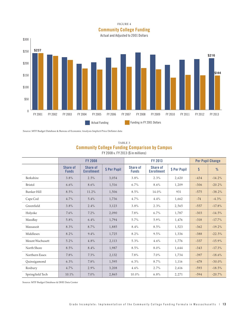#### FIGURE 4

**Community College Funding**

Actual and Adjusted to 2001 Dollars



Source: MTF Budget Database & Bureau of Economic Analysis Implicit Price Deflator data

#### TABLE 3 **Community College Funding Comparison by Campus** FY 2008 v. FY 2013 (\$ in millions)

|                    | <b>FY 2008</b>                  |                               |              | FY 2013                  |                                      |              | <b>Per Pupil Change</b> |           |
|--------------------|---------------------------------|-------------------------------|--------------|--------------------------|--------------------------------------|--------------|-------------------------|-----------|
|                    | <b>Share of</b><br><b>Funds</b> | Share of<br><b>Enrollment</b> | \$ Per Pupil | Share of<br><b>Funds</b> | <b>Share of</b><br><b>Enrollment</b> | \$ Per Pupil | \$                      | %         |
| Berkshire          | 3.8%                            | 2.5%                          | 3,054        | 3.8%                     | 2.3%                                 | 2,620        | $-434$                  | $-14.2%$  |
| <b>Bristol</b>     | 6.6%                            | 8.6%                          | 1,516        | 6.7%                     | 8.6%                                 | 1,209        | $-306$                  | $-20.2%$  |
| <b>Bunker Hill</b> | 8.5%                            | 11.2%                         | 1,506        | 8.5%                     | 14.0%                                | 931          | $-575$                  | $-38.2%$  |
| Cape Cod           | 4.7%                            | 5.4%                          | 1,736        | 4.7%                     | 4.4%                                 | 1,662        | $-74$                   | $-4.3%$   |
| Greenfield         | 3.8%                            | 2.4%                          | 3,123        | 3.8%                     | 2.3%                                 | 2,565        | $-557$                  | $-17.8%$  |
| Holyoke            | 7.6%                            | 7.2%                          | 2,090        | 7.8%                     | 6.7%                                 | 1.787        | $-303$                  | $-14.5%$  |
| MassBay            | 5.8%                            | 6.4%                          | 1,794        | 5.7%                     | 5.9%                                 | 1,476        | $-318$                  | $-17.7\%$ |
| Massasoit          | 8.3%                            | 8.7%                          | 1,885        | 8.4%                     | 8.5%                                 | 1,523        | $-362$                  | $-19.2%$  |
| Middlesex          | 8.2%                            | $9.4\%$                       | 1,725        | 8.2%                     | 9.5%                                 | 1,336        | $-388$                  | $-22.5%$  |
| Mount Wachusett    | 5.2%                            | 4.8%                          | 2,113        | 5.3%                     | 4.6%                                 | 1,776        | $-337$                  | $-15.9%$  |
| North Shore        | 8.5%                            | 8.4%                          | 1,987        | 8.5%                     | 8.0%                                 | 1,644        | $-343$                  | $-17.3%$  |
| Northern Essex     | 7.8%                            | 7.3%                          | 2,132        | 7.8%                     | $7.0\%$                              | 1,734        | $-397$                  | $-18.6%$  |
| Quinsigamond       | 6.3%                            | 7.8%                          | 1,595        | 6.3%                     | 8.7%                                 | 1,116        | $-478$                  | $-30.0\%$ |
| Roxbury            | 4.7%                            | 2.9%                          | 3,208        | 4.6%                     | 2.7%                                 | 2,616        | $-593$                  | $-18.5%$  |
| Springfield Tech   | 10.1%                           | $7.0\%$                       | 2,865        | 10.0%                    | 6.8%                                 | 2,271        | $-594$                  | $-20.7%$  |

Source: MTF Budget Database & DHE Data Center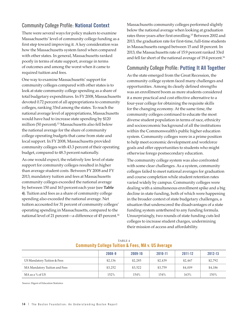### Community College Profile: **National Context**

There were several ways for policy makers to examine Massachusetts' level of community college funding as a first step toward improving it. A key consideration was how the Massachusetts system fared when compared with other states. In general, Massachusetts ranked poorly in terms of state support, average in terms of outcomes and among the worst when it came to required tuition and fees.

One way to examine Massachusetts' support for community colleges compared with other states is to look at state community college spending as a share of total budgetary expenditures. In FY 2008, Massachusetts devoted 0.72 percent of all appropriations to community colleges, ranking 33rd among the states. To reach the national average level of appropriations, Massachusetts would have had to increase state spending by \$120 million (50 percent).13 Massachusetts also fell below the national average for the share of community college operating budgets that came from state and local support. In FY 2008, Massachusetts provided community colleges with 43.3 percent of their operating budget, compared to 48.3 percent nationally.

As one would expect, the relatively low level of state support for community colleges resulted in higher than average student costs. Between FY 2008 and FY 2013, mandatory tuition and fees at Massachusetts community colleges exceeded the national average by between 150 and 163 percent each year (see **Table 4**). Tuition and fees as a share of community college spending also exceeded the national average. Net tuition accounted for 31 percent of community colleges' operating spending in Massachusetts, compared to the national level of 21 percent—a difference of 45 percent.<sup>14</sup> Massachusetts community colleges performed slightly below the national average when looking at graduation rates three years after first enrolling.<sup>15</sup> Between 2002 and 2013, the graduation rate for first-time, full-time students in Massachusetts ranged between 15 and 18 percent. In 2013, the Massachusetts rate of 15.9 percent ranked 33rd and fell far short of the national average of 19.4 percent.<sup>16</sup>

## Community College Profile: **Putting It All Together**

As the state emerged from the Great Recession, the community college system faced many challenges and opportunities. Among its clearly defined strengths was an enrollment boom as more students considered it a more practical and cost effective alternative to a four-year college for obtaining the requisite skills for the changing economy. At the same time, the community colleges continued to educate the most diverse student population in terms of race, ethnicity and socioeconomic background of all the institutions within the Commonwealth's public higher education system. Community colleges were in a prime position to help meet economic development and workforce goals and offer opportunities to students who might otherwise forego postsecondary education.

The community college system was also confronted with some clear challenges. As a system, community colleges failed to meet national averages for graduation and course completion while student retention rates varied widely by campus. Community colleges were dealing with a simultaneous enrollment spike and a big decline in state funding, both of which were happening in the broader context of state budgetary challenges, a situation that underscored the disadvantages of a state funding system untethered to any funding formula. Unsurprisingly, two rounds of state funding cuts led colleges to increase student charges, undermining their mission of access and affordability.

|                               | 2008-9  | 2009-10 | 2010-11 | 2011-12 | 2012-13 |
|-------------------------------|---------|---------|---------|---------|---------|
| US Mandatory Tuition & Fees   | \$2,136 | \$2,285 | \$2,439 | \$2.467 | \$2,792 |
| MA Mandatory Tuition and Fees | \$3,252 | \$3,522 | \$3,759 | \$4,009 | \$4,186 |
| MA as a % of US               | 152%    | 154%    | 154%    | 163%    | 150%    |

#### TABLE 4 **Community College Tuition & Fees, MA v. US Average**

Source: Digest of Education Statistics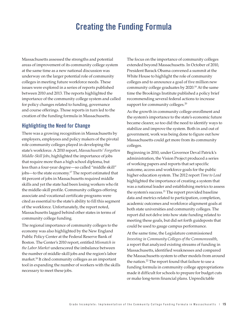# **Creating the Funding Formula**

Massachusetts assessed the strengths and potential areas of improvement of its community college system at the same time as a new national discussion was underway on the larger potential role of community colleges in meeting future workforce needs. These issues were explored in a series of reports published between 2010 and 2013. The reports highlighted the importance of the community college system and called for policy changes related to funding, governance and course offerings. Those reports in turn led to the creation of the funding formula in Massachusetts.

### **Highlighting the Need for Change**

There was a growing recognition in Massachusetts by employers, employees and policy makers of the pivotal role community colleges played in developing the state's workforce. A 2010 report, *Massachusetts' Forgotten Middle-Skill Jobs*, highlighted the importance of jobs that require more than a high school diploma, but less than a four-year degree—so called "middle skill" jobs—to the state economy.<sup>17</sup> The report estimated that 44 percent of jobs in Massachusetts required middle skills and yet the state had been losing workers who fit the middle-skill profile. Community colleges offering associate and vocational certificate programs were cited as essential to the state's ability to fill this segment of the workforce. Unfortunately, the report noted, Massachusetts lagged behind other states in terms of community college funding.

The regional importance of community colleges to the economy was also highlighted by the New England Public Policy Center at the Federal Reserve Bank of Boston. The Center's 2010 report, entitled *Mismatch in the Labor Market* underscored the imbalance between the number of middle-skill jobs and the region's labor market.18 It cited community colleges as an important tool in expanding the number of workers with the skills necessary to meet these jobs.

The focus on the importance of community colleges extended beyond Massachusetts. In October of 2010, President Barack Obama convened a summit at the White House to highlight the role of community colleges and to announce a goal of five million new community college graduates by 2020.19 At the same time the Brookings Institute published a policy brief recommending several federal actions to increase support for community colleges.<sup>20</sup>

As the growth in community college enrollment and the system's importance to the state's economic future became clearer, so too did the need to identify ways to stabilize and improve the system. Both in and out of government, work was being done to figure out how Massachusetts could get more from its community colleges.

Beginning in 2010, under Governor Deval Patrick's administration, the Vision Project produced a series of working papers and reports that set specific outcome, access and workforce goals for the public higher education system. The 2012 report *Time to Lead* highlighted the importance of creating a system that was a national leader and establishing metrics to assess the system's success.<sup>21</sup> The report provided baseline data and metrics related to participation, completion, academic outcomes and workforce alignment goals at both state universities and community colleges. The report did not delve into how state funding related to meeting these goals, but did set forth guideposts that could be used to gauge campus performance.

At the same time, the Legislature commissioned *Investing in Community Colleges of the Commonwealth*, a report that analyzed existing streams of funding in Massachusetts, identified weaknesses and compared the Massachusetts system to other models from around the nation.<sup>22</sup> The report found that failure to use a funding formula in community college appropriations made it difficult for schools to prepare for budget cuts or make long-term financial plans. Unpredictable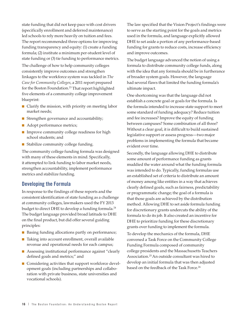state funding that did not keep pace with cost drivers (specifically enrollment and deferred maintenance) led schools to rely more heavily on tuition and fees. The report recommended three options for improving funding transparency and equity: (1) create a funding formula; (2) institute a minimum per-student level of state funding or (3) tie funding to performance metrics.

The challenge of how to help community colleges consistently improve outcomes and strengthen linkages to the workforce system was tackled in *The Case for Community Colleges*, a 2011 report prepared for the Boston Foundation.<sup>23</sup> That report highlighted five elements of a community college improvement blueprint:

- Clarify the mission, with priority on meeting labor market needs;
- Strengthen governance and accountability;
- Adopt performance metrics;
- Improve community college readiness for high school students; and
- Stabilize community college funding.

The community college funding formula was designed with many of these elements in mind. Specifically, it attempted to link funding to labor market needs, strengthen accountability, implement performance metrics and stabilize funding.

### **Developing the Formula**

In response to the findings of these reports and the consistent identification of state funding as a challenge at community colleges, lawmakers used the FY 2013 budget to direct DHE to develop a funding formula.<sup>24</sup> The budget language provided broad latitude to DHE on the final product, but did offer several guiding principles:

- Basing funding allocations partly on performance;
- Taking into account enrollment, overall available revenue and operational needs for each campus;
- Assessing institutional performance against "clearly defined goals and metrics;" and
- Considering activities that support workforce development goals (including partnerships and collaboration with private business, state universities and vocational schools).

The law specified that the Vision Project's findings were to serve as the starting point for the goals and metrics used in the formula, and language explicitly allowed DHE to set aside a portion of any performance-based funding for grants to reduce costs, increase efficiency and improve outcomes.

The budget language advanced the notion of using a formula to distribute community college funds, along with the idea that any formula should be in furtherance of broader system goals. However, the language had several flaws that limited the funding formula's ultimate impact.

One shortcoming was that the language did not establish a concrete goal or goals for the formula. Is the formula intended to increase state support to meet some standard of funding adequacy? Reduce tuition and fee increases? Improve the equity of funding between campuses? Some combination of all three? Without a clear goal, it is difficult to build sustained legislative support or assess progress—two major problems in implementing the formula that became evident over time.

Secondly, the language allowing DHE to distribute some amount of performance funding as grants muddied the water around what the funding formula was intended to do. Typically, funding formulas use an established set of criteria to distribute an amount of money among like entities in a way that achieves clearly defined goals, such as fairness, predictability or programmatic change; the goal of a formula is that those goals are achieved by the distribution method. Allowing DHE to set aside formula funding for discretionary grants undercuts the ability of the formula to do its job. It also created an incentive for DHE to prioritize funding for these discretionary grants over funding to implement the formula. To develop the mechanics of the formula, DHE convened a Task Force on the Community College

Funding Formula composed of community college presidents and the Massachusetts Teachers Association.25 An outside consultant was hired to develop an initial formula that was then adjusted based on the feedback of the Task Force.<sup>26</sup>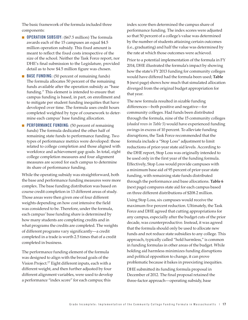The basic framework of the formula included three components:

- **OPERATION SUBSIDY:** (\$67.5 million) The formula awards each of the 15 campuses an equal \$4.5 million operation subsidy. This fixed amount is meant to reflect the fixed costs irrespective of the size of the school. Neither the Task Force report, nor DHE's final submission to the Legislature, provided detail as to how \$4.5 million figure was chosen.
- **BASE FUNDING**: (50 percent of remaining funds) The formula allocates 50 percent of the remaining funds available after the operation subsidy as "base funding." This element is intended to ensure that campus funding is based, in part, on enrollment and to mitigate per student funding inequities that have developed over time. The formula uses credit hours completed weighted by type of coursework to determine each campus' base funding allocation.
- **PERFORMANCE FUNDING:** (50 percent of remaining funds) The formula dedicated the other half of remaining state funds to performance funding. Two types of performance metrics were developed: those related to college completion and those aligned with workforce and achievement gap goals. In total, eight college completion measures and four alignment measures are scored for each campus to determine its share of performance funding.

While the operating subsidy was straightforward, both the base and performance funding measures were more complex. The base funding distribution was based on course credit completion in 13 different areas of study. Those areas were then given one of four different weights depending on how cost intensive the field was considered to be. Therefore, under the formula, each campus' base funding share is determined by how many students are completing credits and in what programs the credits are completed. The weights of different programs vary significantly—a credit completed in a trade is worth 2.5 times that of a credit completed in business.

The performance funding element of the formula was designed to align with the broad goals of the Vision Project.27 Eight different inputs, each with a different weight, and then further adjusted by four different alignment variables, were used to develop a performance "index score" for each campus; this

index score then determined the campus share of performance funding. The index scores were adjusted so that 50 percent of a college's value was determined by the number of students attaining certain outcomes (i.e., graduating) and half the value was determined by the rate at which those outcomes were achieved.

Prior to a potential implementation of the formula in FY 2014, DHE illustrated the formula's impact by showing how the state's FY 2013 funding for community colleges would have differed had the formula been used; **Table 5** (next page) shows how much that simulated allocation diverged from the original budget appropriation for that year.

The new formula resulted in sizable funding differences—both positive and negative—for community colleges. Had funds been distributed through the formula, nine of the 15 community colleges (*shaded rows in Table 5*) would have experienced funding swings in excess of 10 percent. To alleviate funding disruptions, the Task Force recommended that the formula include a "Stop Loss" adjustment to limit reductions of prior-year state aid levels. According to the DHE report, Stop Loss was originally intended to be used only in the first year of the funding formula. Effectively, Stop Loss would provide campuses with a minimum base aid of 95 percent of prior-year state funding, with remaining state funds distributed through the performance and base allocations. **Table 6** (next page) compares state aid for each campus based on three different distributions of \$208.2 million.

Using Stop Loss, six campuses would receive the maximum five percent reduction. Ultimately, the Task Force and DHE agreed that cutting appropriations for any campus, especially after the budget cuts of the prior decade, was counterproductive. Instead, it was agreed that the formula should only be used to allocate new funds and not reduce state subsidies to any college. This approach, typically called "hold harmless," is common in funding formulas in other areas of the budget. While holding aid harmless minimizes funding disruptions and political opposition to change, it can prove problematic because it bakes in preexisting inequities.

DHE submitted its funding formula proposal in December of 2012. The final proposal retained the three-factor approach—operating subsidy, base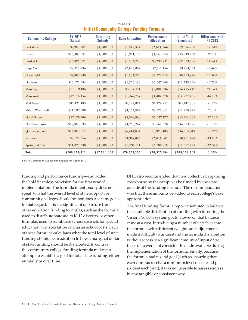| <b>Community College</b> | <b>FY 2013</b><br>(Actual) | <b>Operating</b><br><b>Subsidy</b> | <b>Base Allocation</b> | <b>Performance</b><br><b>Allocation</b> | <b>Initial Total</b><br>(Simulated) | Difference with<br>FY 2013 |
|--------------------------|----------------------------|------------------------------------|------------------------|-----------------------------------------|-------------------------------------|----------------------------|
| Berkshire                | \$7,988,207                | \$4,500,000                        | \$1,849,354            | \$2,664,846                             | \$9,014,200                         | 12.84%                     |
| <b>Bristol</b>           | \$13,885,391               | \$4,500,000                        | \$5,971,516            | \$4,748,353                             | \$15,219,869                        | 9.61%                      |
| <b>Bunker Hill</b>       | \$17,496,631               | \$4,500,000                        | \$7,803,205            | \$7,230,731                             | \$19,533,936                        | 11.64%                     |
| Cape Cod                 | \$9,823,796                | \$4,500,000                        | \$2,823,037            | \$2,161,156                             | \$9,484,193                         | $-3.46%$                   |
| Greenfield               | \$7,805,889                | \$4,500,000                        | \$1,883,263            | \$2,370,213                             | \$8,753,476                         | 12.14%                     |
| Holyoke                  | \$16,074,594               | \$4,500,000                        | \$5,226,188            | \$5,507,068                             | \$15,233,256                        | $-5.23%$                   |
| MassBay                  | \$11,859,106               | \$4,500,000                        | \$3,914,111            | \$6,001,336                             | \$14,415,447                        | 21.56%                     |
| Massasoit                | \$17,376,154               | \$4,500,000                        | \$5,867,757            | \$4,404,678                             | \$14,772,435                        | $-14.98%$                  |
| Middlesex                | \$17,121,183               | \$4,500,000                        | \$7,191,094            | \$6,126,711                             | \$17,817,805                        | 4.07%                      |
| Mount Wachusett          | \$11,007,508               | \$4,500,000                        | \$4,152,964            | \$3,125,861                             | \$11,778,825                        | 7.01%                      |
| North Shore              | \$17,629,906               | \$4,500,000                        | \$5,576,888            | \$5,397,477                             | \$15,474,365                        | $-12.23%$                  |
| Northern Essex           | \$16,305,635               | \$4,500,000                        | \$4,710,247            | \$5,762,878                             | \$14,973,125                        | $-8.17%$                   |
| Quinsigamond             | \$12,980,557               | \$4,500,000                        | \$6,418,834            | \$5,990,485                             | \$16,909,319                        | 30.27%                     |
| Roxbury                  | \$9,729,356                | \$4,500,000                        | \$1,907,086            | \$2,054,542                             | \$8,461,628                         | $-13.03%$                  |
| Springfield Tech         | \$21,070,398               | \$4,500,000                        | \$5,031,611            | \$6,780,819                             | \$16,312,430                        | $-22.58%$                  |
| Total                    | \$208,154,311              | \$67,500,000                       | \$70,327,155           | \$70,327,154                            | \$208,154,309                       | $0.00\%$                   |

TABLE 5 **Initial Community College Funding Formula** 

Source: Community College Funding Report, Appendix C

funding and performance funding—and added the hold harmless provision for the first year of implementation. The formula intentionally does not speak to what the overall level of state support for community colleges should be, nor does it set any goals in that regard. This is a significant departure from other education funding formulas, such as the formula used to distribute state aid to K–12 districts, or other formulas used to reimburse school districts for special education, transportation or charter school costs. Each of these formulas calculates what the total level of state funding should be in addition to how a marginal dollar of state funding should be distributed. In contrast, the community college funding formula makes no attempt to establish a goal for total state funding, either annually or over time.

DHE also recommended that new collective bargaining costs borne by the campuses be funded by the state outside of the funding formula. The recommendation was that these amounts be added to each college's base appropriation.

The final funding formula report attempted to balance the equitable distribution of funding with incenting the Vision Project's system goals. However, that balance came at a cost. Introducing a number of variables into the formula with different weights and adjustments made it difficult to understand the formula distribution without access to a significant amount of input data; these data were not consistently made available during the implementation of the formula. Finally, because the formula had no end goal (such as ensuring that each campus receive a minimum level of state aid per student each year), it was not possible to assess success in any tangible or consistent way.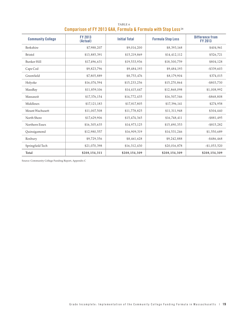| <b>Community College</b> | <b>FY 2013</b><br>(Actual) | <b>Initial Total</b> | <b>Formula Stop Loss</b> | Difference from<br><b>FY 2013</b> |
|--------------------------|----------------------------|----------------------|--------------------------|-----------------------------------|
| Berkshire                | \$7,988,207                | \$9,014,200          | \$8,393,168              | \$404,961                         |
| <b>Bristol</b>           | \$13,885,391               | \$15,219,869         | \$14,412,112             | \$526,721                         |
| <b>Bunker Hill</b>       | \$17,496,631               | \$19,533,936         | \$18,300,759             | \$804,128                         |
| Cape Cod                 | \$9,823,796                | \$9,484,193          | \$9,484,193              | $- $339,603$                      |
| Greenfield               | \$7,805,889                | \$8,753,476          | \$8,179,904              | \$374,015                         |
| Holyoke                  | \$16,074,594               | \$15,233,256         | \$15,270,864             | $- $803,730$                      |
| MassBay                  | \$11,859,106               | \$14,415,447         | \$12,868,098             | \$1,008,992                       |
| Massasoit                | \$17,376,154               | \$14,772,435         | \$16,507,346             | $- $868,808$                      |
| Middlesex                | \$17,121,183               | \$17,817,805         | \$17,396,141             | \$274,958                         |
| Mount Wachusett          | \$11,007,508               | \$11,778,825         | \$11,311,948             | \$304,440                         |
| North Shore              | \$17,629,906               | \$15,474,365         | \$16,748,411             | $-$ \$881,495                     |
| Northern Essex           | \$16,305,635               | \$14,973,125         | \$15,490,353             | $- $815,282$                      |
| Quinsigamond             | \$12,980,557               | \$16,909,319         | \$14,531,246             | \$1,550,689                       |
| Roxbury                  | \$9,729,356                | \$8,461,628          | \$9,242,888              | $- $486,468$                      |
| Springfield Tech         | \$21,070,398               | \$16,312,430         | \$20,016,878             | $-$1,053,520$                     |
| Total                    | \$208,154,311              | \$208,154,309        | \$208,154,309            | \$208,154,309                     |

### TABLE 6 **Comparison of FY 2013 GAA, Formula & Formula with Stop Loss** <sup>28</sup>

Source: Community College Funding Report, Appendix C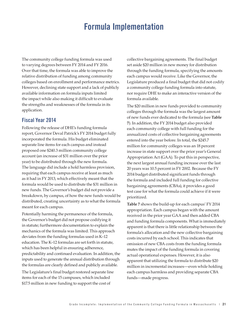# **Formula Implementation**

The community college funding formula was used to varying degrees between FY 2014 and FY 2016. Over that time, the formula was able to improve the relative distribution of funding among community colleges based on enrollment and performance metrics. However, declining state support and a lack of publicly available information on formula inputs limited the impact while also making it difficult to evaluate the strengths and weaknesses of the formula in its application.

### **Fiscal Year 2014**

Following the release of DHE's funding formula report, Governor Deval Patrick's FY 2014 budget fully incorporated the formula. His budget eliminated separate line items for each campus and instead proposed one \$240.3 million community college account (an increase of \$31 million over the prior year) to be distributed through the new formula. The language did include a hold harmless provision, requiring that each campus receive at least as much as it had in FY 2013, which effectively meant that the formula would be used to distribute the \$31 million in new funds. The Governor's budget did not provide a breakdown, by campus, of how the new funds would be distributed, creating uncertainty as to what the formula meant for each campus.

Potentially harming the permanence of the formula, the Governor's budget did not propose codifying it in statute; furthermore documentation to explain the mechanics of the formula was limited. This approach deviates from the funding formulas used in K–12 education. The K–12 formulas are set forth in statute, which has been helpful in ensuring adherence, predictability and continued evaluation. In addition, the inputs used to generate the annual distribution through the formulas are clearly defined and publicly available.

The Legislature's final budget restored separate line items for each of the 15 campuses, which included \$17.5 million in new funding to support the cost of

collective bargaining agreements. The final budget set aside \$20 million in new money for distribution through the funding formula, specifying the amounts each campus would receive. Like the Governor, the Legislature produced a final budget that did not codify a community college funding formula into statute, nor require DHE to make an interactive version of the formula available.

The \$20 million in new funds provided to community colleges through the formula was the largest amount of new funds ever dedicated to the formula (see **Table 7**). In addition, the FY 2014 budget also provided each community college with full funding for the annualized costs of collective bargaining agreements entered into the year before. In total, the \$245.7 million for community colleges was an 18 percent increase in state support over the prior year's General Appropriation Act (GAA). To put this in perspective, the next largest annual funding increase over the last 20 years was 10.5 percent in FY 2002. Because the FY 2014 budget distributed significant funds through the formula and included full funding for collective bargaining agreements (CBAs), it provides a good test case for what the formula could achieve if it were prioritized.

**Table 7** shows the build-up for each campus' FY 2014 appropriation. Each campus began with the amount received in the prior year GAA and then added CBA and funding formula components. What is immediately apparent is that there is little relationship between the formula's allocation and the new collective bargaining costs incurred by each school. This indicates that omission of new CBA costs from the funding formula mutes the impact of the funding formula in covering actual operational expenses. However, it is also apparent that utilizing the formula to distribute \$20 million in incremental increases—even while holding each campus harmless and providing separate CBA funds—made progress.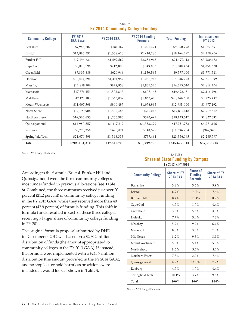| <b>Community College</b> | FY 2013<br><b>GAA Base</b> | <b>FY 2014 CBA</b> | FY 2014 Funding<br><b>Formula</b> | <b>Total Funding</b> | Increase over<br><b>FY 2013</b> |
|--------------------------|----------------------------|--------------------|-----------------------------------|----------------------|---------------------------------|
| Berkshire                | \$7,988,207                | \$581,167          | \$1,091,424                       | \$9,660,798          | \$1,672,591                     |
| <b>Bristol</b>           | \$13,885,391               | \$1,338,620        | \$2,940,286                       | \$18,164,297         | \$4,278,906                     |
| Bunker Hill              | \$17,496,631               | \$1,697,569        | \$2,282,913                       | \$21,477,113         | \$3,980,482                     |
| Cape Cod                 | \$9,823,796                | \$712,805          | \$343,833                         | \$10,880,434         | \$1,056,638                     |
| Greenfield               | \$7,805,889                | \$620,946          | \$1,150,565                       | \$9,577,400          | \$1,771,511                     |
| Holyoke                  | \$16,074,594               | \$1,474,952        | \$1,086,747                       | \$18,636,293         | \$2,561,699                     |
| MassBay                  | \$11,859,106               | \$878,858          | \$1,937,546                       | \$14,675,510         | \$2,816,404                     |
| Massasoit                | \$17,376,153               | \$1,508,833        | \$608,165                         | \$19,493,151         | \$2,116,998                     |
| Middlesex                | \$17,121,183               | \$1,363,037        | \$1,862,410                       | \$20,346,630         | \$3,225,447                     |
| Mount Wachusett          | \$11,007,508               | \$900,497          | \$1,076,995                       | \$12,985,000         | \$1,977,492                     |
| North Shore              | \$17,629,906               | \$1,590,465        | \$617,047                         | \$19,837,418         | \$2,207,512                     |
| Northern Essex           | \$16,305,635               | \$1,256,985        | \$570,697                         | \$18,133,317         | \$1,827,682                     |
| Quinsigamond             | \$12,980,557               | \$1,417,817        | \$3,353,379                       | \$17,751,753         | \$4,771,196                     |
| Roxbury                  | \$9,729,356                | \$626,821          | \$340,527                         | \$10,696,704         | \$967,348                       |
| Springfield Tech         | \$21,070,398               | \$1,548,333        | \$737,464                         | \$23,356,195         | \$2,285,797                     |
| Total                    | \$208,154,310              | \$17,517,705       | \$19,999,998                      | \$245,672,013        | \$37,517,703                    |

TABLE 7 **FY 2014 Community College Funding** 

Source: MTF Budget Database

According to the formula, Bristol, Bunker Hill and Quinsigamond were the three community colleges most underfunded in previous allocations (see **Table 8**). Combined, the three campuses received just over 20 percent (21.2 percent) of community college funding in the FY 2013 GAA, while they received more than 40 percent (42.9 percent) of formula funding. This shift in formula funds resulted in each of these three colleges receiving a larger share of community college funding in FY 2014.

The original formula proposal submitted by DHE in December of 2012 was based on a \$208.2 million distribution of funds (the amount appropriated to community colleges in the FY 2013 GAA). If, instead, the formula were implemented with a \$245.7 million distribution (the amount provided in the FY 2014 GAA), and no stop loss or hold harmless provisions were included, it would look as shown in **Table 9**.

#### TABLE 8 **Share of State Funding by Campus** FY 2013 v. FY 2014

| <b>Community College</b> | <b>Share of FY</b><br><b>2013 GAA</b> | Share of<br><b>Funding</b><br><b>Formula</b> | <b>Share of FY</b><br><b>2014 GAA</b> |
|--------------------------|---------------------------------------|----------------------------------------------|---------------------------------------|
| Berkshire                | 3.8%                                  | 5.5%                                         | 3.9%                                  |
| <b>Bristol</b>           | $6.7\%$                               | 14.7%                                        | $7.4\%$                               |
| <b>Bunker Hill</b>       | 8.4%                                  | 11.4%                                        | 8.7%                                  |
| Cape Cod                 | 4.7%                                  | 1.7%                                         | 4.4%                                  |
| Greenfield               | 3.8%                                  | 5.8%                                         | 3.9%                                  |
| Holyoke                  | 7.7%                                  | 5.4%                                         | 7.6%                                  |
| MassBay                  | 5.7%                                  | $9.7\%$                                      | $6.0\%$                               |
| Massasoit                | 8.3%                                  | $3.0\%$                                      | $7.9\%$                               |
| Middlesex                | $8.2\%$                               | 9.3%                                         | 8.3%                                  |
| Mount Wachusett          | 5.3%                                  | 5.4%                                         | 5.3%                                  |
| North Shore              | 8.5%                                  | 3.1%                                         | 8.1%                                  |
| Northern Essex           | 7.8%                                  | 2.9%                                         | 7.4%                                  |
| Quinsigamond             | $6.2\%$                               | 16.8%                                        | $7.2\%$                               |
| Roxbury                  | 4.7%                                  | $1.7\%$                                      | 4.4%                                  |
| Springfield Tech         | 10.1%                                 | 3.7%                                         | 9.5%                                  |
| Total                    | $100\%$                               | $100\%$                                      | $100\%$                               |

Source: MTF Budget Database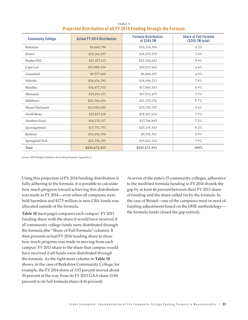| <b>Community College</b> | <b>Actual FY 2014 Distribution</b> | <b>Formula Distribution</b><br>of \$245.7M | <b>Share of Full Formula</b><br>(\$245.7M total) |
|--------------------------|------------------------------------|--------------------------------------------|--------------------------------------------------|
| Berkshire                | \$9,660,798                        | \$10,218,304                               | 4.2%                                             |
| <b>Bristol</b>           | \$18,164,297                       | \$18,079,255                               | 7.4%                                             |
| <b>Bunker Hill</b>       | \$21,477,113                       | \$23,544,043                               | 9.6%                                             |
| Cape Cod                 | \$10,880,434                       | \$10,813,662                               | 4.4%                                             |
| Greenfield               | \$9,577,400                        | \$9,888,035                                | 4.0%                                             |
| Holyoke                  | \$18,636,293                       | \$18,096,212                               | 7.4%                                             |
| MassBay                  | \$14,675,510                       | \$17,060,263                               | $6.9\%$                                          |
| Massasoit                | \$19,493,151                       | \$17,512,473                               | 7.1%                                             |
| Middlesex                | \$20,346,630                       | \$21,370,156                               | 8.7%                                             |
| Mount Wachusett          | \$12,985,000                       | \$13,720,357                               | 5.6%                                             |
| North Shore              | \$19,837,418                       | \$18,401,634                               | 7.5%                                             |
| Northern Essex           | \$18,133,317                       | \$17,766,695                               | 7.2%                                             |
| Quinsigamond             | \$17,751,753                       | \$20,219,343                               | 8.2%                                             |
| Roxbury                  | \$10,696,704                       | \$9,518,341                                | 3.9%                                             |
| Springfield Tech         | \$23,356,195                       | \$19,463,242                               | 7.9%                                             |
| Total                    | \$245,672,015                      | \$245,672,015                              | 100%                                             |

TABLE 9 **Projected Distribution of all FY 2014 Funding through the Formula**

Source: MTF Budget Database & Funding Formula Appendix C

Using this projection of FY 2014 funding distribution if fully adhering to the formula, it is possible to calculate how much progress toward achieving this distribution was made in FY 2014—even when all campuses were held harmless and \$17.5 million in new CBA funds was allocated outside of the formula.

**Table 10** (next page) compares each campus' FY 2013 funding share with the share it would have received if *all* community college funds were distributed through the formula (the "Share of Full Formula" column). It then presents actual FY 2014 funding share to show how much progress was made in moving from each campus' FY 2013 share to the share that campus would have received if all funds were distributed through the formula. As the right-most column in **Table 10** shows, in the case of Berkshire Community College, for example, the FY 2014 share of 3.93 percent moved about 30 percent of the way from its FY 2013 GAA share (3.84 percent) to its full formula share (4.16 percent).

At seven of the state's 15 community colleges, adherence to the modified formula funding in FY 2014 shrank the gap by at least 40 percent between their FY 2013 share of funding and the share called for by the formula. In the case of Bristol—one of the campuses most in need of funding adjustments based on the DHE methodology the formula funds closed the gap entirely.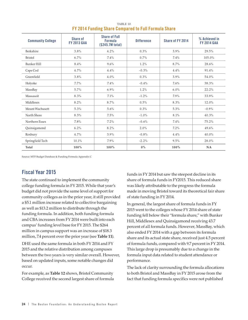| <b>Community College</b> | <b>Share of</b><br><b>FY 2013 GAA</b> | <b>Share of Full</b><br><b>Formula</b><br>(\$245.7M total) | <b>Difference</b> | Share of FY 2014 | % Achieved in<br><b>FY 2014 GAA</b> |
|--------------------------|---------------------------------------|------------------------------------------------------------|-------------------|------------------|-------------------------------------|
| Berkshire                | 3.8%                                  | 4.2%                                                       | 0.3%              | 3.9%             | 29.5%                               |
| <b>Bristol</b>           | 6.7%                                  | 7.4%                                                       | $0.7\%$           | 7.4%             | 105.0%                              |
| <b>Bunker Hill</b>       | 8.4%                                  | 9.6%                                                       | 1.2%              | 8.7%             | 28.6%                               |
| Cape Cod                 | 4.7%                                  | 4.4%                                                       | $-0.3\%$          | 4.4%             | 91.4%                               |
| Greenfield               | 3.8%                                  | 4.0%                                                       | $0.3\%$           | 3.9%             | 54.0%                               |
| Holyoke                  | $7.7\%$                               | 7.4%                                                       | $-0.4\%$          | 7.6%             | 38.3%                               |
| MassBay                  | 5.7%                                  | $6.9\%$                                                    | 1.2%              | $6.0\%$          | 22.2%                               |
| Massasoit                | 8.3%                                  | 7.1%                                                       | $-1.2\%$          | 7.9%             | 33.9%                               |
| Middlesex                | 8.2%                                  | 8.7%                                                       | 0.5%              | 8.3%             | 12.0%                               |
| Mount Wachusett          | 5.3%                                  | 5.6%                                                       | 0.3%              | 5.3%             | $-0.9\%$                            |
| North Shore              | $8.5\%$                               | 7.5%                                                       | $-1.0%$           | 8.1%             | 40.3%                               |
| Northern Essex           | 7.8%                                  | 7.2%                                                       | $-0.6%$           | 7.4%             | 75.2%                               |
| Quinsigamond             | 6.2%                                  | 8.2%                                                       | 2.0%              | 7.2%             | 49.6%                               |
| Roxbury                  | 4.7%                                  | $3.9\%$                                                    | $-0.8\%$          | 4.4%             | 40.0%                               |
| Springfield Tech         | 10.1%                                 | 7.9%                                                       | $-2.2\%$          | 9.5%             | 28.0%                               |
| Total                    | $100\%$                               | $100\%$                                                    | $0\%$             | $100\%$          | NA                                  |

TABLE 10 **FY 2014 Funding Share Compared to Full Formula Share** 

Source: MTF Budget Database & Funding Formula Appendix C

### **Fiscal Year 2015**

The state continued to implement the community college funding formula in FY 2015. While that year's budget did not provide the same level of support for community colleges as in the prior year, it still provided a \$5.1 million increase related to collective bargaining as well as \$13.2 million to distribute through the funding formula. In addition, both funding formula and CBA increases from FY 2014 were built into each campus' funding level base for FY 2015. The \$264 million in campus support was an increase of \$18.3 million, 7.4 percent over the prior year (see **Table 11**).

DHE used the same formula in both FY 2014 and FY 2015 and the relative distribution among campuses between the two years is very similar overall. However, based on updated inputs, some notable changes did occur.

For example, as **Table 12** shows, Bristol Community College received the second largest share of formula

funds in FY 2014 but saw the steepest decline in its share of formula funds in FY2015. This reduced share was likely attributable to the progress the formula made in moving Bristol toward its theoretical fair share of state funding in FY 2014.

In general, the largest share of formula funds in FY 2015 went to the colleges whose FY 2014 share of state funding fell below their "formula share," with Bunker Hill, Middlesex and Quinsigamond receiving 43.7 percent of all formula funds. However, MassBay, which also ended FY 2014 with a gap between its formula share and its actual state share, received just 4.5 percent of formula funds, compared with 9.7 percent in FY 2014. This large drop is presumably due to a change in the formula input data related to student attendance or performance.

The lack of clarity surrounding the formula allocations to both Bristol and MassBay in FY 2015 arose from the fact that funding formula specifics were not published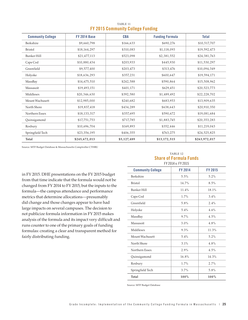| <b>Community College</b> | <b>FY 2014 Base</b> | <b>CBA</b>  | <b>Funding Formula</b> | <b>Total</b>  |
|--------------------------|---------------------|-------------|------------------------|---------------|
| Berkshire                | \$9,660,798         | \$166,633   | \$690,276              | \$10,517,707  |
| <b>Bristol</b>           | \$18,164,297        | \$310,083   | \$1,118,093            | \$19,592,473  |
| Bunker Hill              | \$21,477,113        | \$523,098   | \$2,381,552            | \$24,381,763  |
| Cape Cod                 | \$10,880,434        | \$203,933   | \$445,930              | \$11,530,297  |
| Greenfield               | \$9,577,400         | \$203,473   | \$313,476              | \$10,094,349  |
| Holyoke                  | \$18,636,293        | \$357,231   | \$600,647              | \$19,594,171  |
| MassBay                  | \$14,675,510        | \$242,588   | \$590,864              | \$15,508,962  |
| Massasoit                | \$19,493,151        | \$401,171   | \$629,451              | \$20,523,773  |
| Middlesex                | \$20,346,630        | \$392,580   | \$1,489,492            | \$22,228,702  |
| Mount Wachusett          | \$12,985,000        | \$240,682   | \$683,953              | \$13,909,635  |
| North Shore              | \$19,837,418        | \$434,289   | \$638,643              | \$20,910,350  |
| Northern Essex           | \$18,133,317        | \$357,695   | \$590,672              | \$19,081,684  |
| Quinsigamond             | \$17,751,753        | \$717,785   | \$1,883,745            | \$20,353,283  |
| Roxbury                  | \$10,696,704        | \$169,893   | \$352,446              | \$11,219,043  |
| Springfield Tech         | \$23,356,195        | \$406,355   | \$763,275              | \$24,525,825  |
| Total                    | \$245,672,013       | \$5,127,489 | \$13,172,515           | \$263,972,017 |

TABLE 11 **FY 2015 Community College Funding**

Source: MTF Budget Database & Massachusetts Comptroller CTHRU

in FY 2015. DHE presentations on the FY 2015 budget from that time indicate that the formula would not be changed from FY 2014 to FY 2015, but the inputs to the formula—the campus attendance and performance metrics that determine allocations—presumably did change and those changes appear to have had large impacts on several campuses. The decision to not publicize formula information in FY 2015 makes analysis of the formula and its impact very difficult and runs counter to one of the primary goals of funding formulas: creating a clear and transparent method for fairly distributing funding.

#### TABLE 12 **Share of Formula Funds** FY 2014 v. FY 2015

| <b>Community College</b> | <b>FY 2014</b> | <b>FY 2015</b> |
|--------------------------|----------------|----------------|
| Berkshire                | 5.5%           | 5.2%           |
| <b>Bristol</b>           | 14.7%          | 8.5%           |
| Bunker Hill              | 11.4%          | 18.1%          |
| Cape Cod                 | 1.7%           | 3.4%           |
| Greenfield               | 5.8%           | 2.4%           |
| Holyoke                  | 5.4%           | 4.6%           |
| MassBay                  | $9.7\%$        | 4.5%           |
| Massasoit                | 3.0%           | 4.8%           |
| Middlesex                | 9.3%           | 11.3%          |
| Mount Wachusett          | 5.4%           | 5.2%           |
| North Shore              | 3.1%           | 4.8%           |
| Northern Essex           | 2.9%           | 4.5%           |
| Quinsigamond             | 16.8%          | 14.3%          |
| Roxbury                  | 1.7%           | 2.7%           |
| Springfield Tech         | 3.7%           | 5.8%           |
| Total                    | $100\%$        | $100\%$        |

Source: MTF Budget Database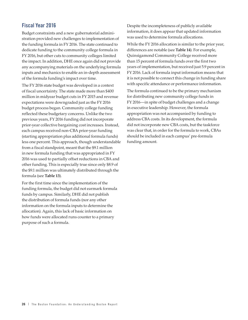## **Fiscal Year 2016**

Budget constraints and a new gubernatorial administration provided new challenges to implementation of the funding formula in FY 2016. The state continued to dedicate funding to the community college formula in FY 2016, but other cuts to community colleges limited the impact. In addition, DHE once again did not provide any accompanying materials on the underlying formula inputs and mechanics to enable an in-depth assessment of the formula funding's impact over time.

The FY 2016 state budget was developed in a context of fiscal uncertainty. The state made more than \$400 million in midyear budget cuts in FY 2015 and revenue expectations were downgraded just as the FY 2016 budget process began. Community college funding reflected these budgetary concerns. Unlike the two previous years, FY 2016 funding did not incorporate prior-year collective bargaining cost increases. Instead, each campus received non-CBA prior-year funding (starting appropriation plus additional formula funds) less one percent. This approach, though understandable from a fiscal standpoint, meant that the \$9.1 million in new formula funding that was appropriated in FY 2016 was used to partially offset reductions in CBA and other funding. This is especially true since only \$8.9 of the \$9.1 million was ultimately distributed through the formula (see **Table 13**).

For the first time since the implementation of the funding formula, the budget did not earmark formula funds by campus. Similarly, DHE did not publish the distribution of formula funds (nor any other information on the formula inputs to determine the allocation). Again, this lack of basic information on how funds were allocated runs counter to a primary purpose of such a formula.

Despite the incompleteness of publicly available information, it does appear that updated information was used to determine formula allocations.

While the FY 2016 allocation is similar to the prior year, differences are notable (see **Table 14**). For example, Quinsigamond Community College received more than 15 percent of formula funds over the first two years of implementation, but received just 5.9 percent in FY 2016. Lack of formula input information means that it is not possible to connect this change in funding share with specific attendance or performance information.

The formula continued to be the primary mechanism for distributing new community college funds in FY 2016—in spite of budget challenges and a change in executive leadership. However, the formula appropriation was not accompanied by funding to address CBA costs. In its development, the formula did not incorporate new CBA costs, but the taskforce was clear that, in order for the formula to work, CBAs should be included in each campus' pre-formula funding amount.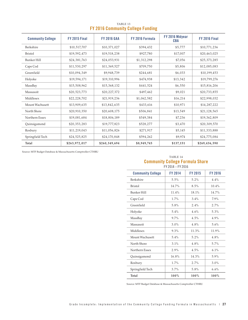| <b>Community College</b> | <b>FY 2015 Final</b> | <b>FY 2016 GAA</b> | FY 2016 Formula | FY 2016 Midyear<br><b>CBA</b> | <b>FY 2016 Final</b> |
|--------------------------|----------------------|--------------------|-----------------|-------------------------------|----------------------|
| Berkshire                | \$10,517,707         | \$10,371,027       | \$394,432       | \$5,777                       | \$10,771,236         |
| <b>Bristol</b>           | \$19,592,473         | \$19,518,238       | \$927,780       | \$17,007                      | \$20,463,025         |
| <b>Bunker Hill</b>       | \$24,381,763         | \$24,053,931       | \$1,312,298     | \$7,056                       | \$25,373,285         |
| Cape Cod                 | \$11,530,297         | \$11,369,527       | \$709,750       | \$5,806                       | \$12,085,083         |
| Greenfield               | \$10,094,349         | \$9,948,739        | \$244,681       | \$6,033                       | \$10,199,453         |
| Holyoke                  | \$19,594,171         | \$19,310,996       | \$474,938       | \$13,342                      | \$19,799,276         |
| MassBay                  | \$15,508,962         | \$15,368,132       | \$441,524       | \$6,550                       | \$15,816,206         |
| Massasoit                | \$20,523,773         | \$20,227,372       | \$497,462       | \$9,021                       | \$20,733,855         |
| Middlesex                | \$22,228,702         | \$21,919,236       | \$1,062,582     | \$16,214                      | \$22,998,032         |
| Mount Wachusett          | \$13,909,635         | \$13,842,635       | \$433,616       | \$10,971                      | \$14,287,222         |
| North Shore              | \$20,910,350         | \$20,608,175       | \$506,841       | \$13,549                      | \$21,128,565         |
| Northern Essex           | \$19,081,684         | \$18,806,189       | \$549,384       | \$7,236                       | \$19,362,809         |
| Quinsigamond             | \$20,353,283         | \$19,777,823       | \$528,277       | \$3,470                       | \$20,309,570         |
| Roxbury                  | \$11,219,043         | \$11,056,826       | \$271,917       | \$5,145                       | \$11,333,888         |
| Springfield Tech         | \$24,525,825         | \$24,170,848       | \$594,262       | \$9,974                       | \$24,775,084         |
| Total                    | \$263,972,017        | \$260,349,694      | \$8,949,745     | \$137,151                     | \$269,436,590        |

TABLE 13 **FY 2016 Community College Funding** 

Source: MTF Budget Database & Massachusetts Comptroller CTHRU

#### TABLE 14 **Community College Formula Share** FY 2014 – FY 2016

| <b>Community College</b> | <b>FY 2014</b> | <b>FY 2015</b> | <b>FY 2016</b> |
|--------------------------|----------------|----------------|----------------|
| Berkshire                | 5.5%           | 5.2%           | 4.4%           |
| <b>Bristol</b>           | 14.7%          | 8.5%           | 10.4%          |
| <b>Bunker Hill</b>       | 11.4%          | 18.1%          | 14.7%          |
| Cape Cod                 | 1.7%           | 3.4%           | 7.9%           |
| Greenfield               | 5.8%           | 2.4%           | 2.7%           |
| Holyoke                  | 5.4%           | 4.6%           | 5.3%           |
| MassBay                  | 9.7%           | 4.5%           | 4.9%           |
| Massasoit                | 3.0%           | 4.8%           | 5.6%           |
| Middlesex                | 9.3%           | 11.3%          | 11.9%          |
| Mount Wachusett          | 5.4%           | 5.2%           | 4.8%           |
| North Shore              | 3.1%           | 4.8%           | 5.7%           |
| Northern Essex           | 2.9%           | 4.5%           | 6.1%           |
| Quinsigamond             | 16.8%          | 14.3%          | 5.9%           |
| Roxbury                  | 1.7%           | 2.7%           | 3.0%           |
| Springfield Tech         | 3.7%           | 5.8%           | 6.6%           |
| Total                    | $100\%$        | $100\%$        | 100%           |

Source: MTF Budget Database & Massachusetts Comptroller CTHRU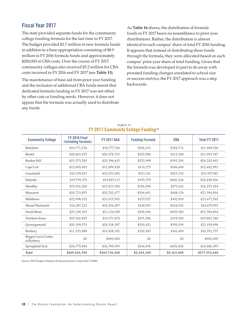# **Fiscal Year 2017**

The state provided separate funds for the community college funding formula for the last time in FY 2017. The budget provided \$2.7 million in new formula funds in addition to a base appropriation consisting of \$8.9 million in FY 2016 formula funds and approximately \$200,000 in CBA costs. Over the course of FY 2017, community colleges also received \$5.2 million for CBA costs incurred in FY 2016 and FY 2017 (see **Table 15**).

The maintenance of base aid from prior year funding and the inclusion of additional CBA funds meant that dedicated formula funding in FY 2017 was not offset by other cuts or funding needs. However, it does not appear that the formula was actually used to distribute any funds.

As **Table 16** shows, the distribution of formula funds in FY 2017 bears no resemblance to prior year distributions. Rather, the distribution is almost identical to each campus' share of total FY 2016 funding. It appears that instead of distributing these funds through the formula, they were allocated based on each campus' prior year share of total funding. Given that the formula was developed in part to do away with prorated funding changes unrelated to school size or success metrics, the FY 2017 approach was a step backwards.

| <b>Community College</b>          | <b>FY 2016 Final</b><br>(including formula) | <b>FY 2017 GAA</b> | <b>Funding Formula</b> | <b>CBA</b>  | <b>Total FY 2017</b> |
|-----------------------------------|---------------------------------------------|--------------------|------------------------|-------------|----------------------|
| Berkshire                         | \$10,771,236                                | \$10,777,744       | \$106,312              | \$184,712   | \$11,068,768         |
| <b>Bristol</b>                    | \$20,463,025                                | \$20,578,333       | \$202,986              | \$312,248   | \$21,093,567         |
| <b>Bunker Hill</b>                | \$25,373,285                                | \$25,396,615       | \$252,998              | \$593,290   | \$26,242,903         |
| Cape Cod                          | \$12,085,083                                | \$12,096,928       | \$119,275              | \$186,688   | \$12,402,891         |
| Greenfield                        | \$10,199,453                                | \$10,253,490       | \$101,141              | \$203,350   | \$10,557,981         |
| Holyoke                           | \$19,799,276                                | \$19,807,113       | \$195,379              | \$406,344   | \$20,408,836         |
| MassBay                           | \$15,816,206                                | \$15,823,504       | \$156,084              | \$273,616   | \$16,253,204         |
| Massasoit                         | \$20,733,855                                | \$20,742,077       | \$204,601              | \$448,126   | \$21,394,804         |
| Middlesex                         | \$22,998,032                                | \$23,015,565       | \$227,027              | \$432,910   | \$23,675,502         |
| Mount Wachusett                   | \$14,287,222                                | \$14,294,497       | \$140,953              | \$244,542   | \$14,679,992         |
| North Shore                       | \$21,128,565                                | \$21,136,928       | \$208,496              | \$439,380   | \$21,784,804         |
| Northern Essex                    | \$19,362,809                                | \$19,371,874       | \$191,086              | \$319,380   | \$19,882,340         |
| Quinsigamond                      | \$20,309,570                                | \$20,318,287       | \$200,421              | \$500,190   | \$21,018,898         |
| Roxbury                           | \$11,333,888                                | \$10,438,392       | \$102,965              | \$161,400   | \$10,702,757         |
| Reggie Lewis Center<br>at Roxbury | \$0                                         | \$900,000          | \$0                    | \$0         | \$900,000            |
| Springfield Tech                  | \$24,775,084                                | \$24,785,093       | \$244,476              | \$456,824   | \$25,486,393         |
| Total                             | \$269,436,590                               | \$269,736,440      | \$2,654,200            | \$5,163,000 | \$277,553,640        |

#### TABLE 15 **FY 2017 Community College Funding** <sup>29</sup>

Source: MTF Budget Database & Massachusetts Comptroller CTHRU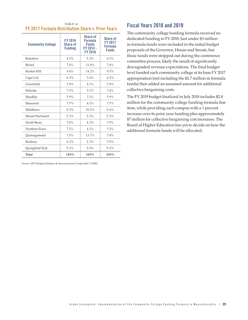|                                                   | TABLE 16 |  |
|---------------------------------------------------|----------|--|
| FY 2017 Formula Distribution Share v. Prior Years |          |  |

| <b>Community College</b> | <b>FY 2016</b><br><b>Share of</b><br><b>Funding</b> | Share of<br><b>Formula</b><br><b>Funds</b><br>FY 2014 -<br>FY 2016 | <b>Share of</b><br><b>FY 2017</b><br><b>Formula</b><br><b>Funds</b> |
|--------------------------|-----------------------------------------------------|--------------------------------------------------------------------|---------------------------------------------------------------------|
| Berkshire                | 4.0%                                                | 5.2%                                                               | 4.0%                                                                |
| <b>Bristol</b>           | 7.6%                                                | 11.8%                                                              | 7.6%                                                                |
| <b>Bunker Hill</b>       | $9.4\%$                                             | 14.2%                                                              | 9.5%                                                                |
| Cape Cod                 | 4.5%                                                | 3.6%                                                               | 4.5%                                                                |
| Greenfield               | 3.8%                                                | $4.1\%$                                                            | 3.8%                                                                |
| Holyoke                  | 7.3%                                                | 5.1%                                                               | 7.4%                                                                |
| MassBay                  | 5.9%                                                | 7.1%                                                               | 5.9%                                                                |
| Massasoit                | 7.7%                                                | $4.1\%$                                                            | $7.7\%$                                                             |
| Middlesex                | 8.5%                                                | 10.5%                                                              | 8.6%                                                                |
| Mount Wachusett          | 5.3%                                                | $5.2\%$                                                            | 5.3%                                                                |
| North Shore              | 7.8%                                                | 4.2%                                                               | 7.9%                                                                |
| Northern Essex           | 7.2%                                                | 4.1%                                                               | 7.2%                                                                |
| Quinsigamond             | 7.5%                                                | $13.7\%$                                                           | 7.6%                                                                |
| Roxbury                  | $4.2\%$                                             | 2.3%                                                               | 3.9%                                                                |
| Springfield Tech         | $9.2\%$                                             | 5.0%                                                               | $9.2\%$                                                             |
| Total                    | 100%                                                | 100%                                                               | $100\%$                                                             |

Source: MTF Budget Database & Massachusetts Comptroller CTHRU

### **Fiscal Years 2018 and 2019**

The community college funding formula received no dedicated funding in FY 2018. Just under \$3 million in formula funds were included in the initial budget proposals of the Governor, House and Senate, but those funds were stripped out during the conference committee process, likely the result of significantly downgraded revenue expectations. The final budget level funded each community college at its base FY 2017 appropriation (not including the \$2.7 million in formula funds) then added an assumed amount for additional collective bargaining costs.

The FY 2019 budget finalized in July 2018 includes \$2.8 million for the community college funding formula line item, while providing each campus with a 1 percent increase over its prior year funding plus approximately \$7 million for collective bargaining cost increases. The Board of Higher Education has yet to decide on how the additional formula funds will be allocated.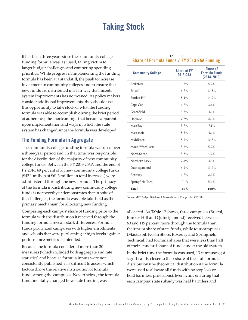# **Taking Stock**

It has been three years since the community college funding formula was last used, falling victim to larger budget challenges and competing spending priorities. While progress in implementing the funding formula has been at a standstill, the push to increase investment in community colleges and to ensure that new funds are distributed in a fair way that incents system improvements has not waned. As policy makers consider additional improvements, they should use this opportunity to take stock of what the funding formula was able to accomplish during the brief period of adherence, the shortcomings that became apparent upon implementation and ways in which the state system has changed since the formula was developed.

### **The Funding Formula in Aggregate**

The community college funding formula was used over a three-year period and, in that time, was responsible for the distribution of the majority of new community college funds. Between the FY 2013 GAA and the end of FY 2016, 69 percent of all new community college funds (\$42.1 million of \$61.3 million in total increases) were administered through the new formula. The primacy of the formula in distributing new community college funds is noteworthy; it demonstrates that in spite of the challenges, the formula was able take hold as the primary mechanism for allocating new funding.

Comparing each campus' share of funding prior to the formula with the distribution it received through the funding formula reveals stark differences. Formula funds prioritized campuses with higher enrollments and schools that were performing at high levels against performance metrics as intended.

Because the formula considered more than 20 measures (which included both aggregate and rate statistics) and because formula inputs were not consistently published, it is difficult to assess which factors drove the relative distribution of formula funds among the campuses. Nevertheless, the formula fundamentally changed how state funding was

| <b>IIIWIW I WIIWV</b><br>. <b>.</b> |                                       |                                                            |  |  |
|-------------------------------------|---------------------------------------|------------------------------------------------------------|--|--|
| <b>Community College</b>            | <b>Share of FY</b><br><b>2013 GAA</b> | <b>Share of</b><br><b>Formula Funds</b><br>$(2014 - 2016)$ |  |  |
| Berkshire                           | 3.8%                                  | 5.2%                                                       |  |  |
| <b>Bristol</b>                      | 6.7%                                  | 11.8%                                                      |  |  |
| <b>Bunker Hill</b>                  | 8.4%                                  | 14.2%                                                      |  |  |
| Cape Cod                            | 4.7%                                  | 3.6%                                                       |  |  |
| Greenfield                          | 3.8%                                  | $4.1\%$                                                    |  |  |
| Holyoke                             | $7.7\%$                               | 5.1%                                                       |  |  |
| MassBay                             | 5.7%                                  | 7.1%                                                       |  |  |
| Massasoit                           | 8.3%                                  | $4.1\%$                                                    |  |  |
| Middlesex                           | 8.2%                                  | 10.5%                                                      |  |  |
| Mount Wachusett                     | 5.3%                                  | 5.2%                                                       |  |  |
| North Shore                         | 8.5%                                  | $4.2\%$                                                    |  |  |
| Northern Essex                      | 7.8%                                  | $4.1\%$                                                    |  |  |
| Quinsigamond                        | 6.2%                                  | 13.7%                                                      |  |  |
| Roxbury                             | 4.7%                                  | 2.3%                                                       |  |  |
| Springfield Tech                    | 10.1%                                 | 5.0%                                                       |  |  |
| Total                               | 100%                                  | 100%                                                       |  |  |

#### TABLE 17 **Share of Formula Funds v. FY 2013 GAA Funding**

Source: MTF Budget Database & Massachusetts Comptroller CTHRU

allocated. As **Table 17** shows, three campuses (Bristol, Bunker Hill and Quinsigamond) received between 69 and 119 percent more through the formula than their prior share of state funds, while four campuses (Massasoit, North Shore, Roxbury and Springfield Technical) had formula shares that were less than half of their standard share of funds under the old system.

In the brief time the formula was used, 13 campuses got significantly closer to their share of the "full formula" distribution (the theoretical distribution if the formula were used to allocate all funds with no stop loss or hold harmless provisions). Even while ensuring that each campus' state subsidy was held harmless and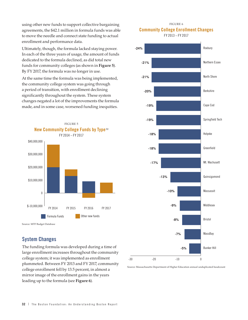using other new funds to support collective bargaining agreements, the \$42.1 million in formula funds was able to move the needle and connect state funding to actual enrollment and performance data.

Ultimately, though, the formula lacked staying power. In each of the three years of usage, the amount of funds dedicated to the formula declined, as did total new funds for community colleges (as shown in **Figure 5**). By FY 2017, the formula was no longer in use.

At the same time the formula was being implemented, the community college system was going through a period of transition, with enrollment declining significantly throughout the system. These system changes negated a lot of the improvements the formula made, and in some case, worsened funding inequities.



Source: MTF Budget Database

### **System Changes**

The funding formula was developed during a time of large enrollment increases throughout the community college system; it was implemented as enrollment plummeted. Between FY 2013 and FY 2017, community college enrollment fell by 13.5 percent, in almost a mirror image of the enrollment gains in the years leading up to the formula (see **Figure 6**).





Source: Massachusetts Department of Higher Education annual unduplicated headcount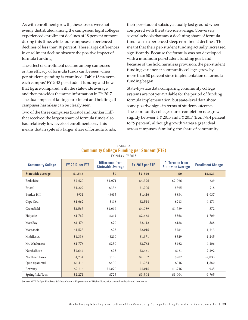As with enrollment growth, these losses were not evenly distributed among the campuses. Eight colleges experienced enrollment declines of 18 percent or more during this time, while four campuses experienced declines of less than 10 percent. These large differences in enrollment decline obscure the positive impact of formula funding.

The effect of enrollment decline among campuses on the efficacy of formula funds can be seen when per-student spending is examined. **Table 18** presents each campus' FY 2013 per-student funding and how that figure compared with the statewide average, and then provides the same information in FY 2017. The dual impact of falling enrollment and holding all campuses harmless can be clearly seen.

Two of the three campuses (Bristol and Bunker Hill) that received the largest share of formula funds also had relatively low levels of enrollment loss. This means that in spite of a larger share of formula funds,

their per-student subsidy actually lost ground when compared with the statewide average. Conversely, several schools that saw a declining share of formula funds also experienced steep enrollment declines. This meant that their per-student funding actually increased significantly. Because the formula was not developed with a minimum per-student funding goal, and because of the hold harmless provision, the per-student funding variance at community colleges grew by more than 50 percent since implementation of formula funding began.

State-by-state data comparing community college systems are not yet available for the period of funding formula implementation, but state-level data show some positive signs in terms of student outcomes. The community college course completion rate grew slightly between FY 2013 and FY 2017 (from 78.4 percent to 79 percent), although growth varies a great deal across campuses. Similarly, the share of community

| <b>Community College</b> | FY 2013 per FTE | $11$ $201$ $0$ $8.1$ $1$ $201$ $1$<br><b>Difference from</b><br><b>Statewide Average</b> | FY 2017 per FTE | <b>Difference from</b><br><b>Statewide Average</b> | <b>Enrollment Change</b> |
|--------------------------|-----------------|------------------------------------------------------------------------------------------|-----------------|----------------------------------------------------|--------------------------|
| Statewide average        | \$1,546         | \$0                                                                                      | \$2,300         | \$0                                                | $-18,823$                |
| Berkshire                | \$2,620         | \$1,074                                                                                  | \$4,396         | \$2,096                                            | $-629$                   |
| <b>Bristol</b>           | \$1,209         | $-$ \$336                                                                                | \$1,906         | $-$ \$395                                          | $-918$                   |
| <b>Bunker Hill</b>       | \$931           | $- $615$                                                                                 | \$1,416         | $- $884$                                           | $-1,037$                 |
| Cape Cod                 | \$1,662         | \$116                                                                                    | \$2,514         | \$213                                              | $-1,171$                 |
| Greenfield               | \$2,565         | \$1,019                                                                                  | \$4,089         | \$1,789                                            | $-572$                   |
| Holyoke                  | \$1,787         | \$241                                                                                    | \$2,668         | \$368                                              | $-1,709$                 |
| MassBay                  | \$1,476         | $- $70$                                                                                  | \$2,112         | $- $188$                                           | $-588$                   |
| Massasoit                | \$1,523         | $- $23$                                                                                  | \$2,016         | $- $284$                                           | $-1,243$                 |
| Middlesex                | \$1,336         | $- $210$                                                                                 | \$1,971         | $-$ \$329                                          | $-1,245$                 |
| Mt. Wachusett            | \$1,776         | \$230                                                                                    | \$2,762         | \$462                                              | $-1,106$                 |
| North Shore              | \$1,644         | \$98                                                                                     | \$2,461         | \$161                                              | $-2,292$                 |
| Northern Essex           | \$1,734         | \$188                                                                                    | \$2,582         | \$282                                              | $-2,033$                 |
| Quinsigamond             | \$1,116         | $- $430$                                                                                 | \$1,984         | $-$ \$316                                          | $-1,580$                 |
| Roxbury                  | \$2,616         | \$1,070                                                                                  | \$4,016         | \$1,716                                            | $-935$                   |
| Springfield Tech         | \$2,271         | \$725                                                                                    | \$3,304         | \$1,004                                            | $-1,765$                 |

#### TABLE 18 **Community College Funding per Student (FTE)** FY 2013 v. FY 2017

Source: MTF Budget Database & Massachusetts Department of Higher Education annual unduplicated headcount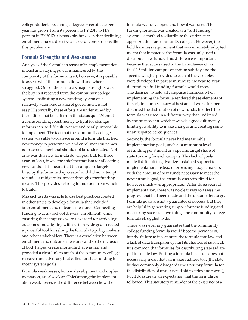college students receiving a degree or certificate per year has grown from 9.8 percent in FY 2013 to 11.8 percent in FY 2017; it is possible, however, that declining enrollment makes direct year-to-year comparisons like this problematic.

### **Formula Strengths and Weaknesses**

Analysis of the formula in terms of its implementation, impact and staying power is hampered by the complexity of the formula itself; however, it is possible to assess what the formula did well and where it struggled. One of the formula's major strengths was the buy-in it received from the community college system. Instituting a new funding system on a relatively autonomous area of government is not easy. Historically, these efforts are undermined by the entities that benefit from the status quo. Without a corresponding constituency to fight for changes, reforms can be difficult to enact and nearly impossible to implement. The fact that the community college system was able to coalesce around a formula that tied new money to performance and enrollment outcomes is an achievement that should not be understated. Not only was this new formula developed, but, for three years at least, it was the chief mechanism for allocating new funds. This means that the campuses largely lived by the formula they created and did not attempt to undo or mitigate its impact through other funding means. This provides a strong foundation from which to build.

Massachusetts was able to use best practices created in other states to develop a formula that included both enrollment and outcome measures. Connecting funding to actual school drivers (enrollment) while ensuring that campuses were rewarded for achieving outcomes and aligning with system-wide goals created a powerful tool for selling the formula to policy makers and other stakeholders. There is a correlation between enrollment and outcome measures and so the inclusion of both helped create a formula that was fair and provided a clear link to much of the community college research and advocacy that called for state funding to incent system goals.

Formula weaknesses, both in development and implementation, are also clear. Chief among the implementation weaknesses is the difference between how the

formula was developed and how it was used. The funding formula was created as a "full funding" system—a method to distribute the entire state appropriation for community colleges. However, the hold harmless requirement that was ultimately adopted meant that in practice the formula was only used to distribute new funds. This difference is important because the factors used in the formula—such as the \$4.5 million campus operation subsidy and the specific weights provided to each of the variables were developed in part to minimize the year-to-year disruption a full funding formula would create. The decision to hold all campuses harmless when implementing the formula rendered these elements of the original unnecessary at best and at worst further distorted the distribution of new funds. In effect, the formula was used in a different way than indicated by the purpose for which it was designed, ultimately limiting its ability to make changes and creating some unanticipated consequences.

Secondly, the formula never had measurable implementation goals, such as a minimum level of funding per student or a specific target share of state funding for each campus. This lack of goals made it difficult to galvanize sustained support for implementation. Instead of providing budget makers with the amount of new funds necessary to meet the next formula goal, the formula was retrofitted for however much was appropriated. After three years of implementation, there was no clear way to assess the progress that had been made and the distance left to go. Formula goals are not a guarantee of success, but they are helpful in generating support for new funding and measuring success—two things the community college formula struggled to do.

There was never any guarantee that the community college funding formula would become permanent, but the failure to incorporate the formula into law and a lack of data transparency hurt its chances of survival. It is common that formulas for distributing state aid are put into state law. Putting a formula in statute does not necessarily mean that lawmakers adhere to it (the state budget commonly disregards the statutory formula for the distribution of unrestricted aid to cities and towns), but it does create an expectation that the formula be followed. This statutory reminder of the existence of a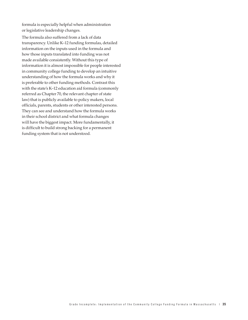formula is especially helpful when administration or legislative leadership changes.

The formula also suffered from a lack of data transparency. Unlike K–12 funding formulas, detailed information on the inputs used in the formula and how those inputs translated into funding was not made available consistently. Without this type of information it is almost impossible for people interested in community college funding to develop an intuitive understanding of how the formula works and why it is preferable to other funding methods. Contrast this with the state's K–12 education aid formula (commonly referred as Chapter 70, the relevant chapter of state law) that is publicly available to policy makers, local officials, parents, students or other interested persons. They can see and understand how the formula works in their school district and what formula changes will have the biggest impact. More fundamentally, it is difficult to build strong backing for a permanent funding system that is not understood.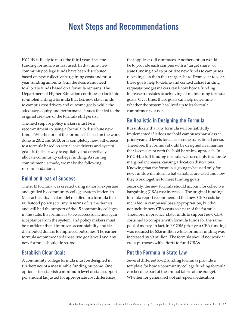# **Next Steps and Recommendations**

FY 2019 is likely to mark the third year since the funding formula was last used. In that time, new community college funds have been distributed based on new collective bargaining costs and prior year funding amounts. Still the desire and need to allocate funds based on a formula remains. The Department of Higher Education continues to look into re-implementing a formula that ties new state funds to campus cost drivers and outcome goals, while the adequacy, equity and performance issues that led to the original creation of the formula still persist.

The next step for policy makers must be a recommitment to using a formula to distribute new funds. Whether or not the formula is based on the work done in 2012 and 2013, or is completely new, adherence to a formula based on actual cost drivers and system goals is the best way to equitably and effectively allocate community college funding. Assuming commitment is made, we make the following recommendations:

### **Build on Areas of Success**

The 2013 formula was created using national expertise and guided by community college system leaders in Massachusetts. That model resulted in a formula that withstood policy scrutiny in terms of its mechanics and still had the support of the 15 community colleges in the state. If a formula is to be successful, it must gain acceptance from the system, and policy makers must be confident that it improves accountability and ties distributed dollars to improved outcomes. The earlier formula accommodated these two goals well and any new formula should do so, too.

### **Establish Clear Goals**

A community college formula must be designed in furtherance of a measurable funding outcome. One option is to establish a minimum level of state support per student (adjusted for appropriate cost differences)

that applies to all campuses. Another option would be to provide each campus with a "target share" of state funding and to prioritize new funds to campuses receiving less than their target share. From year to year, these goals help to define and contextualize funding requests; budget makers can know how a funding increase translates to achieving or maintaining formula goals. Over time, these goals can help determine whether the system has lived up to its formula commitments or not.

### **Be Realistic in Designing the Formula**

It is unlikely that any formula will be faithfully implemented if it does not hold campuses harmless at prior-year aid levels for at least some transitional period. Therefore, the formula should be designed in a manner that is consistent with the hold harmless approach. In FY 2014, a full funding formula was used only to allocate marginal increases, causing allocation distortions. Knowing that the formula is going to be used only for new funds will inform what variables are used and how they work together to meet funding goals.

Secondly, the new formula should account for collective bargaining (CBA) cost increases. The original funding formula report recommended that new CBA costs be included in campuses' base appropriation, but did not include new CBA costs as a part of the formula. Therefore, in practice, state funds to support new CBA costs had to compete with formula funds for the same pool of money. In fact, in FY 2016 prior year CBA funding was reduced by \$3.6 million while formula funding was increased by \$9 million. The formula should not work at cross purposes with efforts to fund CBAs.

### **Put the Formula in State Law**

Several different K–12 funding formulas provide a template for how a community college funding formula can become part of the annual fabric of the budget. Whether for general school aid, special education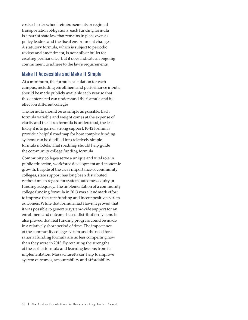costs, charter school reimbursements or regional transportation obligations, each funding formula is a part of state law that remains in place even as policy leaders and the fiscal environment changes. A statutory formula, which is subject to periodic review and amendment, is not a silver bullet for creating permanence, but it does indicate an ongoing commitment to adhere to the law's requirements.

### **Make It Accessible and Make It Simple**

At a minimum, the formula calculation for each campus, including enrollment and performance inputs, should be made publicly available each year so that those interested can understand the formula and its effect on different colleges.

The formula should be as simple as possible. Each formula variable and weight comes at the expense of clarity and the less a formula is understood, the less likely it is to garner strong support. K–12 formulas provide a helpful roadmap for how complex funding systems can be distilled into relatively simple formula models. That roadmap should help guide the community college funding formula.

Community colleges serve a unique and vital role in public education, workforce development and economic growth. In spite of the clear importance of community colleges, state support has long been distributed without much regard for system outcomes, equity or funding adequacy. The implementation of a community college funding formula in 2013 was a landmark effort to improve the state funding and incent positive system outcomes. While that formula had flaws, it proved that it was possible to generate system-wide support for an enrollment and outcome based distribution system. It also proved that real funding progress could be made in a relatively short period of time. The importance of the community college system and the need for a rational funding formula are no less compelling now than they were in 2013. By retaining the strengths of the earlier formula and learning lessons from its implementation, Massachusetts can help to improve system outcomes, accountability and affordability.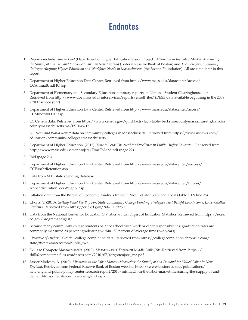# **Endnotes**

- 1. Reports include *Time to Lead* (Department of Higher Education Vision Project), *Mismatch in the Labor Market: Measuring the Supply of and Demand for Skilled Labor in New England* (Federal Reserve Bank of Boston) and *The Case for Community Colleges: Aligning Higher Education and Workforce Needs in Massachusetts* (the Boston Foundation). All are cited later in this report.
- 2. Department of Higher Education Data Center. Retrieved from http://www.mass.edu/datacenter/access/ CCAnnualUndHC.asp
- 3. Department of Elementary and Secondary Education summary reports on National Student Clearinghouse data. Retrieved from http://www.doe.mass.edu/infoservices/reports/enroll\_ihe/ (DESE data available beginning in the 2008 – 2009 school year)
- 4. Department of Higher Education Data Center. Retrieved from http://www.mass.edu/datacenter/access/ CCMinorityHTC.asp
- 5. US Census data. Retrieved from https://www.census.gov/quickfacts/fact/table/berkshirecountymassachusetts,franklin countymassachusetts,ma/PST045217
- 6. *US News and World Report* data on community colleges in Massachusetts. Retrieved from https://www.usnews.com/ education/community-colleges/massachusetts
- 7. Department of Higher Education. (2012). *Time to Lead: The Need for Excellence in Public Higher Education*. Retrieved from http://www.mass.edu/visionproject/TimeToLead.pdf (page 22)
- 8. Ibid (page 26)
- 9. Department of Higher Education Data Center. Retrieved from http://www.mass.edu/datacenter/success/ CCFirstYrRetention.asp
- 10. Data from MTF state spending database
- 11. Department of Higher Education Data Center. Retrieved from http://www.mass.edu/datacenter/tuition/ AppendixTuitionFeesWeight7.asp
- 12. Inflation data from the Bureau of Economic Analysis Implicit Price Deflator State and Local (Table 1.1.9 line 26)
- 13. Choitz, V. (2010). *Getting What We Pay For: State Community College Funding Strategies That Benefit Low-Income, Lower-Skilled Students*. Retrieved from https://eric.ed.gov/?id=ED537508
- 14. Data from the National Center for Education Statistics annual Digest of Education Statistics. Retrieved from https://nces. ed.gov/programs/digest/
- 15. Because many community college students balance school with work or other responsibilities, graduation rates are commonly measured as percent graduating within 150 percent of average time (two years).
- 16. *Chronicle of Higher Education* college completion data. Retrieved from https://collegecompletion.chronicle.com/ state/#state=ma&sector=public\_two
- 17. Skills to Compete Massachusetts. (2010). *Massachusetts' Forgotten Middle Skills Jobs*. Retrieved from: https:// skills2competema.files.wordpress.com/2010/07/forgottenjobs\_ma.pdf
- 18. Sasser Modesto, A. (2010). *Mismatch in the Labor Market: Measuring the Supply of and Demand for Skilled Labor in New England*. Retrieved from Federal Reserve Bank of Boston website: https://www.bostonfed.org/publications/ new-england-public-policy-center-research-report/2010/mismatch-in-the-labor-market-measuring-the-supply-of-anddemand-for-skilled-labor-in-new-england.aspx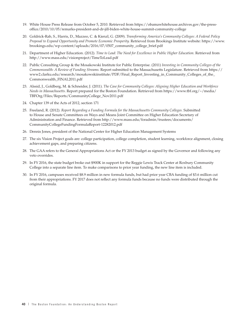- 19. White House Press Release from October 5, 2010. Retrieved from https://obamawhitehouse.archives.gov/the-pressoffice/2010/10/05/remarks-president-and-dr-jill-biden-white-house-summit-community-college
- 20. Goldrick-Rab, S., Harris, D., Mazzeo, C. & Kienzl, G. (2009). *Transforming America's Community Colleges: A Federal Policy Proposal to Expand Opportunity and Promote Economic Prosperity.* Retrieved from Brookings Institute website: https://www. brookings.edu/wp-content/uploads/2016/07/0507\_community\_college\_brief.pdf
- 21. Department of Higher Education. (2012). *Time to Lead: The Need for Excellence in Public Higher Education*. Retrieved from http://www.mass.edu/visionproject/TimeToLead.pdf
- 22. Public Consulting Group & the Mosakowski Institute for Public Enterprise. (2011) *Investing in Community Colleges of the Commonwealth: A Review of Funding Streams.* Report submitted to the Massachusetts Legislature. Retrieved from https:// www2.clarku.edu/research/mosakowskiinstitute/PDF/Final\_Report\_Investing\_in\_Community\_Colleges\_of\_the\_ Commonwealth\_FINAL2011.pdf
- 23. Alssid, J., Goldberg, M. & Schneider, J. (2011). *The Case for Community Colleges: Aligning Higher Education and Workforce Needs in Massachusetts*. Report prepared for the Boston Foundation. Retrieved from https://www.tbf.org/~/media/ TBFOrg/Files/Reports/CommunityCollege\_Nov2011.pdf
- 24. Chapter 139 of the Acts of 2012, section 171
- 25. Freeland, R. (2012). *Report Regarding a Funding Formula for the Massachusetts Community Colleges.* Submitted to House and Senate Committees on Ways and Means Joint Committee on Higher Education Secretary of Administration and Finance. Retrieved from http://www.mass.edu/foradmin/trustees/documents/ CommunityCollegeFundingFormulaReport-12282012.pdf
- 26. Dennis Jones, president of the National Center for Higher Education Management Systems
- 27. The six Vision Project goals are: college participation, college completion, student learning, workforce alignment, closing achievement gaps, and preparing citizens.
- 28. The GAA refers to the General Appropriations Act or the FY 2013 budget as signed by the Governor and following any veto overrides.
- 29. In FY 2016, the state budget broke out \$900K in support for the Reggie Lewis Track Center at Roxbury Community College into a separate line item. To make comparisons to prior year funding, the new line item is included.
- 30. In FY 2016, campuses received \$8.9 million in new formula funds, but had prior year CBA funding of \$3.6 million cut from their appropriations. FY 2017 does not reflect any formula funds because no funds were distributed through the original formula.